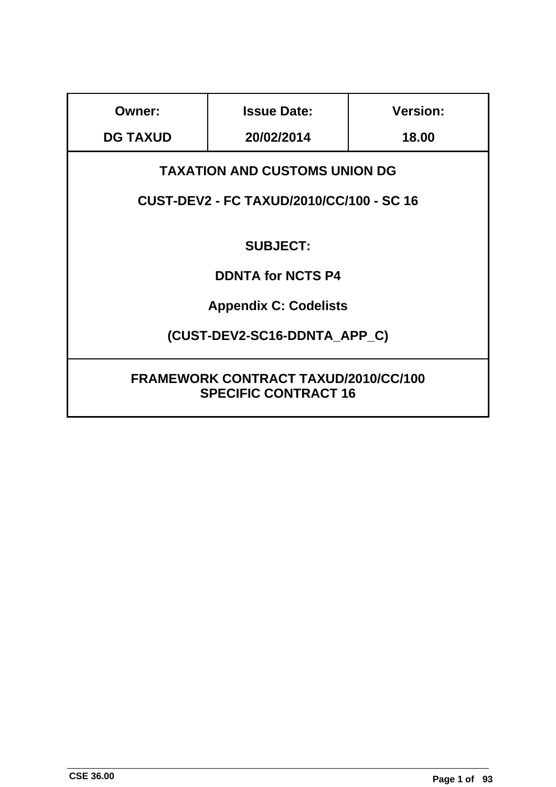| <b>Owner:</b>                                                                           | <b>Issue Date:</b> | <b>Version:</b> |
|-----------------------------------------------------------------------------------------|--------------------|-----------------|
| <b>DG TAXUD</b>                                                                         | 20/02/2014         | 18.00           |
| <b>TAXATION AND CUSTOMS UNION DG</b><br><b>CUST-DEV2 - FC TAXUD/2010/CC/100 - SC 16</b> |                    |                 |
| <b>SUBJECT:</b>                                                                         |                    |                 |
| <b>DDNTA for NCTS P4</b>                                                                |                    |                 |
| <b>Appendix C: Codelists</b>                                                            |                    |                 |
| (CUST-DEV2-SC16-DDNTA APP C)                                                            |                    |                 |
| <b>FRAMEWORK CONTRACT TAXUD/2010/CC/100</b><br><b>SPECIFIC CONTRACT 16</b>              |                    |                 |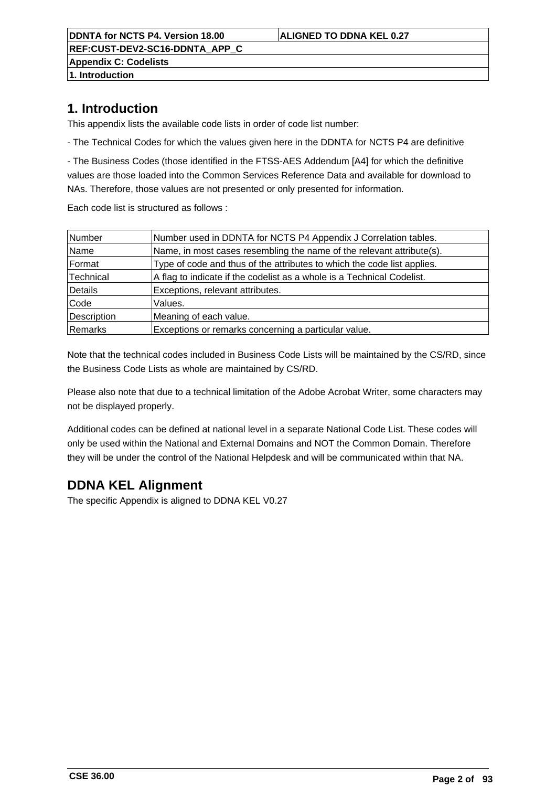**REF:CUST-DEV2-SC16-DDNTA\_APP\_C Appendix C: Codelists**

**1. Introduction**

# **1. Introduction**

This appendix lists the available code lists in order of code list number:

- The Technical Codes for which the values given here in the DDNTA for NCTS P4 are definitive

- The Business Codes (those identified in the FTSS-AES Addendum [A4] for which the definitive values are those loaded into the Common Services Reference Data and available for download to NAs. Therefore, those values are not presented or only presented for information.

Each code list is structured as follows :

| Number      | Number used in DDNTA for NCTS P4 Appendix J Correlation tables.         |
|-------------|-------------------------------------------------------------------------|
| Name        | Name, in most cases resembling the name of the relevant attribute(s).   |
| Format      | Type of code and thus of the attributes to which the code list applies. |
| Technical   | A flag to indicate if the codelist as a whole is a Technical Codelist.  |
| Details     | Exceptions, relevant attributes.                                        |
| Code        | Values.                                                                 |
| Description | Meaning of each value.                                                  |
| Remarks     | Exceptions or remarks concerning a particular value.                    |

Note that the technical codes included in Business Code Lists will be maintained by the CS/RD, since the Business Code Lists as whole are maintained by CS/RD.

Please also note that due to a technical limitation of the Adobe Acrobat Writer, some characters may not be displayed properly.

Additional codes can be defined at national level in a separate National Code List. These codes will only be used within the National and External Domains and NOT the Common Domain. Therefore they will be under the control of the National Helpdesk and will be communicated within that NA.

# **DDNA KEL Alignment**

The specific Appendix is aligned to DDNA KEL V0.27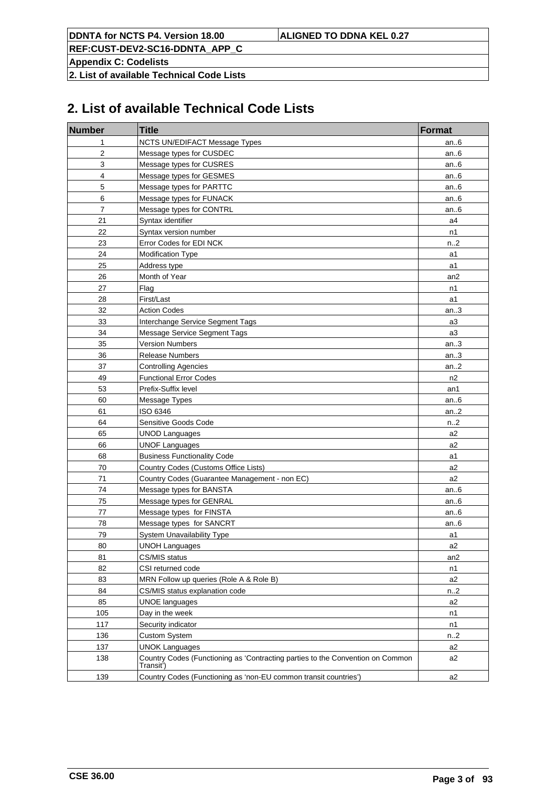**REF:CUST-DEV2-SC16-DDNTA\_APP\_C**

**Appendix C: Codelists**

**2. List of available Technical Code Lists**

# **2. List of available Technical Code Lists**

| <b>Number</b>  | <b>Title</b>                                                                                | <b>Format</b>  |
|----------------|---------------------------------------------------------------------------------------------|----------------|
| 1              | NCTS UN/EDIFACT Message Types                                                               | an.6           |
| 2              | Message types for CUSDEC                                                                    | an $6$         |
| 3              | Message types for CUSRES                                                                    | an $6$         |
| 4              | Message types for GESMES                                                                    | an $6$         |
| 5              | Message types for PARTTC                                                                    | an $6$         |
| 6              | Message types for FUNACK                                                                    | an $6$         |
| $\overline{7}$ | Message types for CONTRL                                                                    | an $6$         |
| 21             | Syntax identifier                                                                           | a4             |
| 22             | Syntax version number                                                                       | n1             |
| 23             | Error Codes for EDI NCK                                                                     | n.2            |
| 24             | Modification Type                                                                           | a1             |
| 25             | Address type                                                                                | a1             |
| 26             | Month of Year                                                                               | an2            |
| 27             | Flag                                                                                        | n1             |
| 28             | First/Last                                                                                  | a1             |
| 32             | <b>Action Codes</b>                                                                         | an.3           |
| 33             | Interchange Service Segment Tags                                                            | a3             |
| 34             | Message Service Segment Tags                                                                | a3             |
| 35             | <b>Version Numbers</b>                                                                      | an.3           |
| 36             | <b>Release Numbers</b>                                                                      | an.3           |
| 37             | <b>Controlling Agencies</b>                                                                 | an.2           |
| 49             | <b>Functional Error Codes</b>                                                               | n <sub>2</sub> |
| 53             | Prefix-Suffix level                                                                         | an1            |
| 60             | Message Types                                                                               | an $6$         |
| 61             | ISO 6346                                                                                    | an.2           |
| 64             | Sensitive Goods Code                                                                        | n.2            |
| 65             | <b>UNOD Languages</b>                                                                       | a2             |
| 66             | <b>UNOF Languages</b>                                                                       | a2             |
| 68             | <b>Business Functionality Code</b>                                                          | a1             |
| 70             | Country Codes (Customs Office Lists)                                                        | a2             |
| 71             | Country Codes (Guarantee Management - non EC)                                               | a2             |
| 74             | Message types for BANSTA                                                                    | an $6$         |
| 75             | Message types for GENRAL                                                                    | an $6$         |
| 77             | Message types for FINSTA                                                                    | an $6$         |
| 78             | Message types for SANCRT                                                                    | an $6$         |
| 79             | System Unavailability Type                                                                  | a1             |
| 80             | <b>UNOH Languages</b>                                                                       | a2             |
| 81             | CS/MIS status                                                                               | an2            |
| 82             | CSI returned code                                                                           | n1             |
| 83             | MRN Follow up queries (Role A & Role B)                                                     | a2             |
| 84             | CS/MIS status explanation code                                                              | n.2            |
| 85             | <b>UNOE languages</b>                                                                       | a2             |
| 105            | Day in the week                                                                             | n1             |
| 117            | Security indicator                                                                          | n1             |
| 136            | <b>Custom System</b>                                                                        | n.2            |
| 137            | <b>UNOK Languages</b>                                                                       | a2             |
| 138            | Country Codes (Functioning as 'Contracting parties to the Convention on Common<br>Transit') | a2             |
| 139            | Country Codes (Functioning as 'non-EU common transit countries')                            | a2             |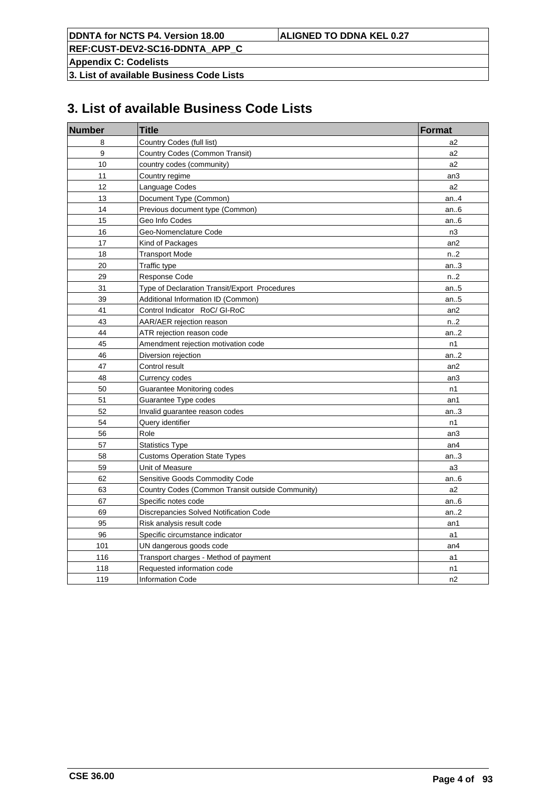**REF:CUST-DEV2-SC16-DDNTA\_APP\_C**

**Appendix C: Codelists**

**3. List of available Business Code Lists**

# **3. List of available Business Code Lists**

| <b>Number</b>    | <b>Title</b>                                     | <b>Format</b>   |
|------------------|--------------------------------------------------|-----------------|
| 8                | Country Codes (full list)                        | a2              |
| $\boldsymbol{9}$ | Country Codes (Common Transit)                   | a2              |
| 10               | country codes (community)                        | a <sub>2</sub>  |
| 11               | Country regime                                   | an3             |
| 12               | Language Codes                                   | a2              |
| 13               | Document Type (Common)                           | an4             |
| 14               | Previous document type (Common)                  | an.6            |
| 15               | Geo Info Codes                                   | an $6$          |
| 16               | Geo-Nomenclature Code                            | n <sub>3</sub>  |
| 17               | Kind of Packages                                 | an2             |
| 18               | <b>Transport Mode</b>                            | n2              |
| 20               | Traffic type                                     | an.3            |
| 29               | Response Code                                    | n.2             |
| 31               | Type of Declaration Transit/Export Procedures    | an $.5$         |
| 39               | Additional Information ID (Common)               | an $.5$         |
| 41               | Control Indicator RoC/ GI-RoC                    | an <sub>2</sub> |
| 43               | AAR/AER rejection reason                         | n2              |
| 44               | ATR rejection reason code                        | an.2            |
| 45               | Amendment rejection motivation code              | n1              |
| 46               | Diversion rejection                              | an.2            |
| 47               | Control result                                   | an2             |
| 48               | Currency codes                                   | an3             |
| 50               | Guarantee Monitoring codes                       | n1              |
| 51               | Guarantee Type codes                             | an1             |
| 52               | Invalid guarantee reason codes                   | an.3            |
| 54               | Query identifier                                 | n1              |
| 56               | Role                                             | an3             |
| 57               | <b>Statistics Type</b>                           | an4             |
| 58               | <b>Customs Operation State Types</b>             | an.3            |
| 59               | Unit of Measure                                  | a3              |
| 62               | Sensitive Goods Commodity Code                   | an.6            |
| 63               | Country Codes (Common Transit outside Community) | a2              |
| 67               | Specific notes code                              | an $6$          |
| 69               | Discrepancies Solved Notification Code           | an.2            |
| 95               | Risk analysis result code                        | an1             |
| 96               | Specific circumstance indicator                  | a1              |
| 101              | UN dangerous goods code                          | an4             |
| 116              | Transport charges - Method of payment            | a1              |
| 118              | Requested information code                       | n1              |
| 119              | <b>Information Code</b>                          | n2              |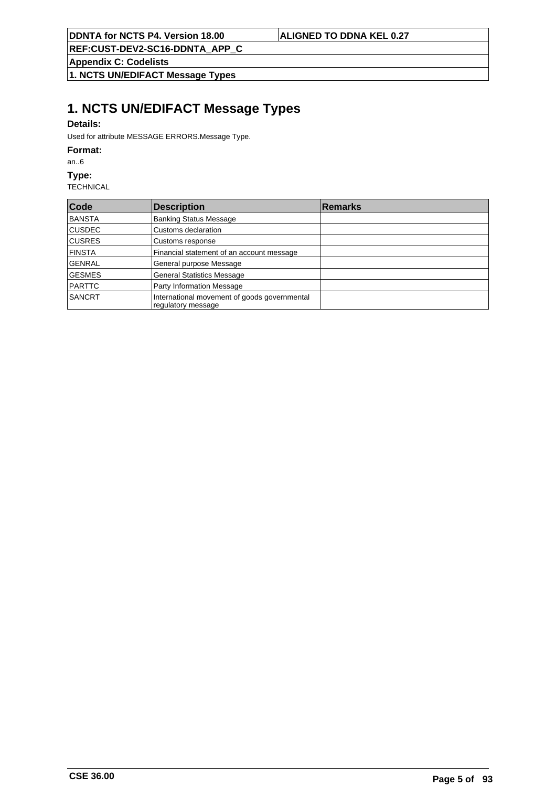**REF:CUST-DEV2-SC16-DDNTA\_APP\_C**

**Appendix C: Codelists**

**1. NCTS UN/EDIFACT Message Types**

# **1. NCTS UN/EDIFACT Message Types**

## **Details:**

Used for attribute MESSAGE ERRORS.Message Type.

## **Format:**

an..6

### **Type:**

| Code          | <b>Description</b>                                                 | <b>Remarks</b> |
|---------------|--------------------------------------------------------------------|----------------|
| <b>BANSTA</b> | <b>Banking Status Message</b>                                      |                |
| CUSDEC        | Customs declaration                                                |                |
| <b>CUSRES</b> | Customs response                                                   |                |
| <b>FINSTA</b> | Financial statement of an account message                          |                |
| <b>GENRAL</b> | General purpose Message                                            |                |
| <b>GESMES</b> | <b>General Statistics Message</b>                                  |                |
| <b>PARTTC</b> | Party Information Message                                          |                |
| <b>SANCRT</b> | International movement of goods governmental<br>regulatory message |                |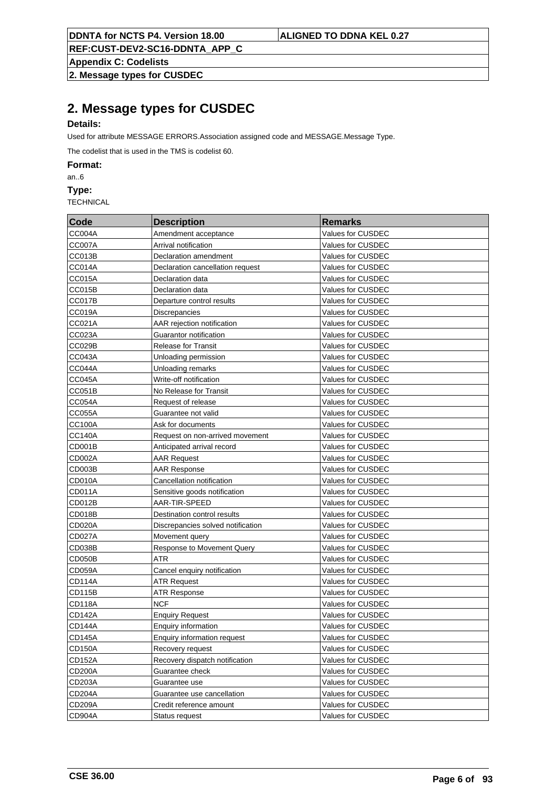**Appendix C: Codelists**

**2. Message types for CUSDEC**

# **2. Message types for CUSDEC**

# **Details:**

Used for attribute MESSAGE ERRORS.Association assigned code and MESSAGE.Message Type.

The codelist that is used in the TMS is codelist 60.

**Format:**

an..6

**Type:**

| Code          | <b>Description</b>                 | <b>Remarks</b>    |
|---------------|------------------------------------|-------------------|
| <b>CC004A</b> | Amendment acceptance               | Values for CUSDEC |
| CC007A        | Arrival notification               | Values for CUSDEC |
| <b>CC013B</b> | Declaration amendment              | Values for CUSDEC |
| <b>CC014A</b> | Declaration cancellation request   | Values for CUSDEC |
| CC015A        | Declaration data                   | Values for CUSDEC |
| CC015B        | Declaration data                   | Values for CUSDEC |
| CC017B        | Departure control results          | Values for CUSDEC |
| CC019A        | <b>Discrepancies</b>               | Values for CUSDEC |
| CC021A        | AAR rejection notification         | Values for CUSDEC |
| CC023A        | Guarantor notification             | Values for CUSDEC |
| CC029B        | <b>Release for Transit</b>         | Values for CUSDEC |
| CC043A        | Unloading permission               | Values for CUSDEC |
| <b>CC044A</b> | Unloading remarks                  | Values for CUSDEC |
| <b>CC045A</b> | Write-off notification             | Values for CUSDEC |
| <b>CC051B</b> | No Release for Transit             | Values for CUSDEC |
| CC054A        | Request of release                 | Values for CUSDEC |
| CC055A        | Guarantee not valid                | Values for CUSDEC |
| <b>CC100A</b> | Ask for documents                  | Values for CUSDEC |
| <b>CC140A</b> | Request on non-arrived movement    | Values for CUSDEC |
| CD001B        | Anticipated arrival record         | Values for CUSDEC |
| CD002A        | <b>AAR Request</b>                 | Values for CUSDEC |
| CD003B        | <b>AAR Response</b>                | Values for CUSDEC |
| <b>CD010A</b> | Cancellation notification          | Values for CUSDEC |
| CD011A        | Sensitive goods notification       | Values for CUSDEC |
| CD012B        | AAR-TIR-SPEED                      | Values for CUSDEC |
| CD018B        | Destination control results        | Values for CUSDEC |
| CD020A        | Discrepancies solved notification  | Values for CUSDEC |
| <b>CD027A</b> | Movement query                     | Values for CUSDEC |
| CD038B        | Response to Movement Query         | Values for CUSDEC |
| CD050B        | ATR                                | Values for CUSDEC |
| <b>CD059A</b> | Cancel enquiry notification        | Values for CUSDEC |
| <b>CD114A</b> | <b>ATR Request</b>                 | Values for CUSDEC |
| CD115B        | <b>ATR Response</b>                | Values for CUSDEC |
| <b>CD118A</b> | <b>NCF</b>                         | Values for CUSDEC |
| <b>CD142A</b> | <b>Enquiry Request</b>             | Values for CUSDEC |
| <b>CD144A</b> | <b>Enquiry information</b>         | Values for CUSDEC |
| <b>CD145A</b> | <b>Enquiry information request</b> | Values for CUSDEC |
| <b>CD150A</b> | Recovery request                   | Values for CUSDEC |
| <b>CD152A</b> | Recovery dispatch notification     | Values for CUSDEC |
| CD200A        | Guarantee check                    | Values for CUSDEC |
| CD203A        | Guarantee use                      | Values for CUSDEC |
| CD204A        | Guarantee use cancellation         | Values for CUSDEC |
| CD209A        | Credit reference amount            | Values for CUSDEC |
| CD904A        | Status request                     | Values for CUSDEC |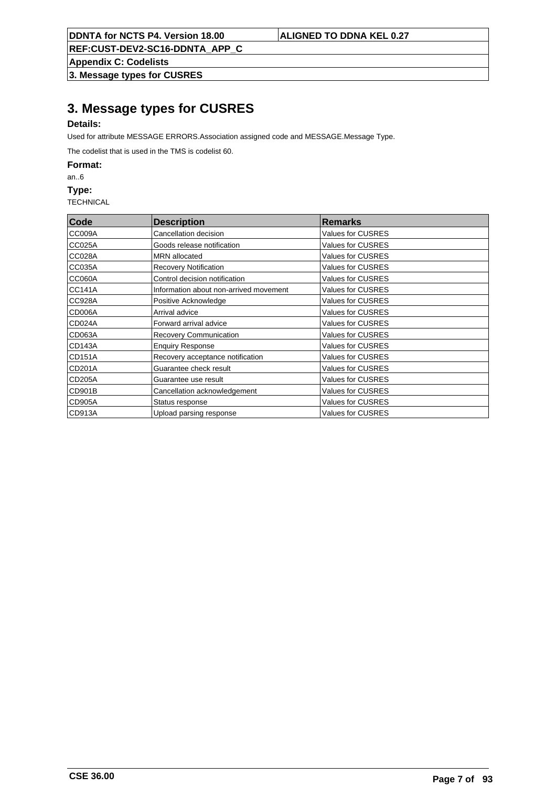**Appendix C: Codelists**

**3. Message types for CUSRES**

# **3. Message types for CUSRES**

# **Details:**

Used for attribute MESSAGE ERRORS.Association assigned code and MESSAGE.Message Type.

The codelist that is used in the TMS is codelist 60.

**Format:**

an..6

**Type:**

| Code          | <b>Description</b>                     | <b>Remarks</b>           |
|---------------|----------------------------------------|--------------------------|
| CC009A        | Cancellation decision                  | Values for CUSRES        |
| <b>CC025A</b> | Goods release notification             | <b>Values for CUSRES</b> |
| <b>CC028A</b> | <b>MRN</b> allocated                   | <b>Values for CUSRES</b> |
| <b>CC035A</b> | <b>Recovery Notification</b>           | <b>Values for CUSRES</b> |
| <b>CC060A</b> | Control decision notification          | <b>Values for CUSRES</b> |
| <b>CC141A</b> | Information about non-arrived movement | <b>Values for CUSRES</b> |
| CC928A        | Positive Acknowledge                   | <b>Values for CUSRES</b> |
| CD006A        | Arrival advice                         | <b>Values for CUSRES</b> |
| CD024A        | Forward arrival advice                 | <b>Values for CUSRES</b> |
| CD063A        | Recovery Communication                 | <b>Values for CUSRES</b> |
| CD143A        | <b>Enquiry Response</b>                | <b>Values for CUSRES</b> |
| <b>CD151A</b> | Recovery acceptance notification       | Values for CUSRES        |
| CD201A        | Guarantee check result                 | Values for CUSRES        |
| <b>CD205A</b> | Guarantee use result                   | <b>Values for CUSRES</b> |
| CD901B        | Cancellation acknowledgement           | <b>Values for CUSRES</b> |
| <b>CD905A</b> | Status response                        | <b>Values for CUSRES</b> |
| CD913A        | Upload parsing response                | <b>Values for CUSRES</b> |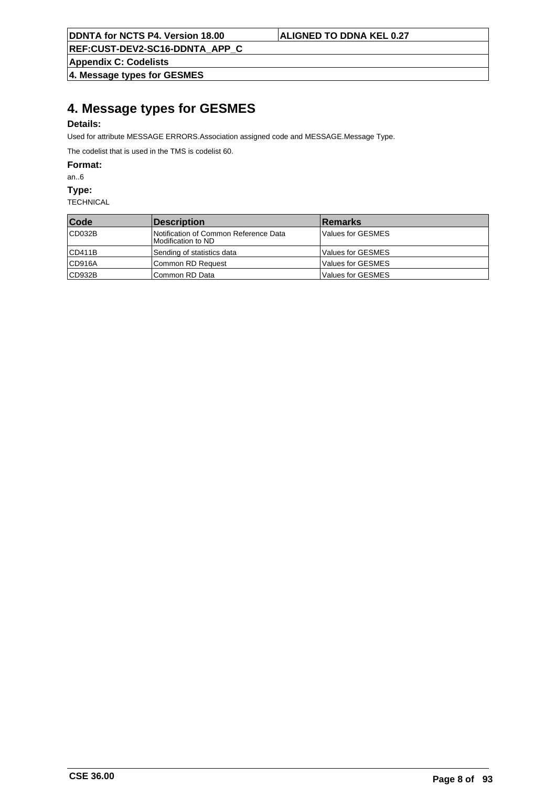**REF:CUST-DEV2-SC16-DDNTA\_APP\_C**

**Appendix C: Codelists**

**4. Message types for GESMES**

# **4. Message types for GESMES**

# **Details:**

Used for attribute MESSAGE ERRORS.Association assigned code and MESSAGE.Message Type.

The codelist that is used in the TMS is codelist 60.

**Format:**

an..6

**Type:**

| Code   | <i><b>Description</b></i>                                    | <b>Remarks</b>           |
|--------|--------------------------------------------------------------|--------------------------|
| CD032B | Notification of Common Reference Data<br>IModification to ND | Values for GESMES        |
| CD411B | Sending of statistics data                                   | <b>Values for GESMES</b> |
| CD916A | Common RD Request                                            | <b>Values for GESMES</b> |
| CD932B | Common RD Data                                               | <b>Values for GESMES</b> |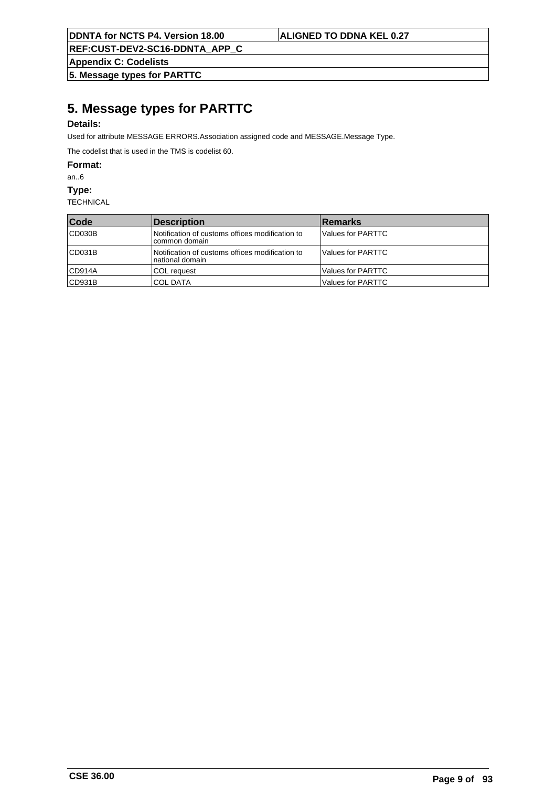**REF:CUST-DEV2-SC16-DDNTA\_APP\_C**

**Appendix C: Codelists**

**5. Message types for PARTTC**

# **5. Message types for PARTTC**

## **Details:**

Used for attribute MESSAGE ERRORS.Association assigned code and MESSAGE.Message Type.

The codelist that is used in the TMS is codelist 60.

**Format:**

an..6

**Type:**

| <b>Code</b> | <b>Description</b>                                                 | <b>Remarks</b>    |
|-------------|--------------------------------------------------------------------|-------------------|
| CD030B      | Notification of customs offices modification to<br>Icommon domain  | Values for PARTTC |
| CD031B      | Notification of customs offices modification to<br>national domain | Values for PARTTC |
| CD914A      | COL request                                                        | Values for PARTTC |
| CD931B      | <b>COL DATA</b>                                                    | Values for PARTTC |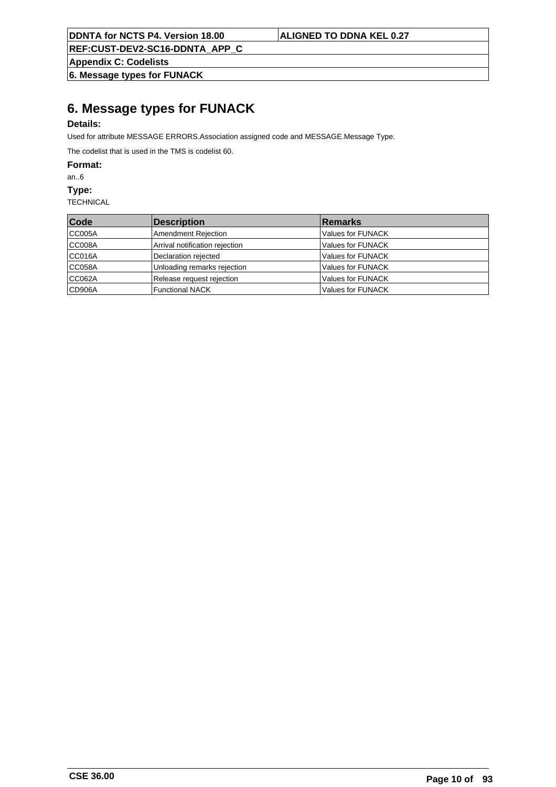**REF:CUST-DEV2-SC16-DDNTA\_APP\_C**

**Appendix C: Codelists**

**6. Message types for FUNACK**

# **6. Message types for FUNACK**

## **Details:**

Used for attribute MESSAGE ERRORS.Association assigned code and MESSAGE.Message Type.

The codelist that is used in the TMS is codelist 60.

**Format:**

an..6

**Type:**

| Code   | Description                    | <b>Remarks</b>    |
|--------|--------------------------------|-------------------|
| CC005A | Amendment Rejection            | Values for FUNACK |
| CC008A | Arrival notification rejection | Values for FUNACK |
| CC016A | Declaration rejected           | Values for FUNACK |
| CC058A | Unloading remarks rejection    | Values for FUNACK |
| CC062A | Release request rejection      | Values for FUNACK |
| CD906A | Functional NACK                | Values for FUNACK |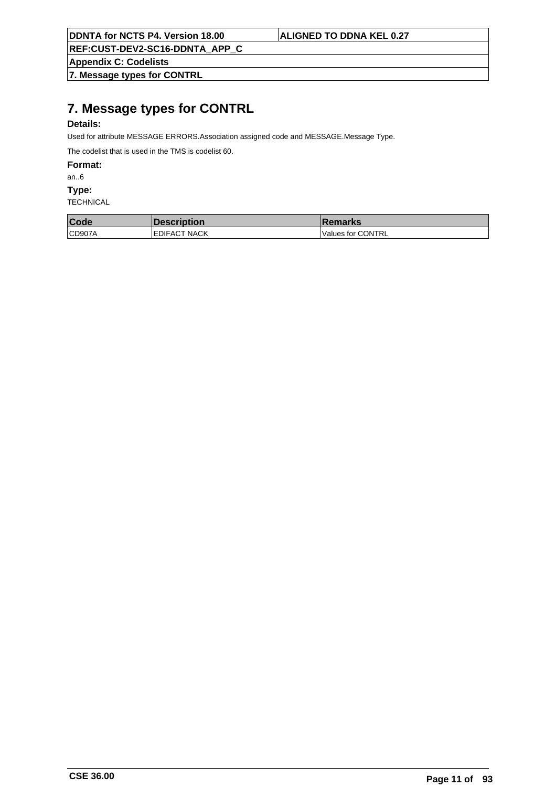**REF:CUST-DEV2-SC16-DDNTA\_APP\_C**

**Appendix C: Codelists**

**7. Message types for CONTRL**

# **7. Message types for CONTRL**

## **Details:**

Used for attribute MESSAGE ERRORS.Association assigned code and MESSAGE.Message Type.

The codelist that is used in the TMS is codelist 60.

**Format:**

an..6

**Type:**

| Code   | <b>Description</b>   | <b>Remarks</b>    |
|--------|----------------------|-------------------|
| CD907A | <b>IEDIFACT NACK</b> | Values for CONTRL |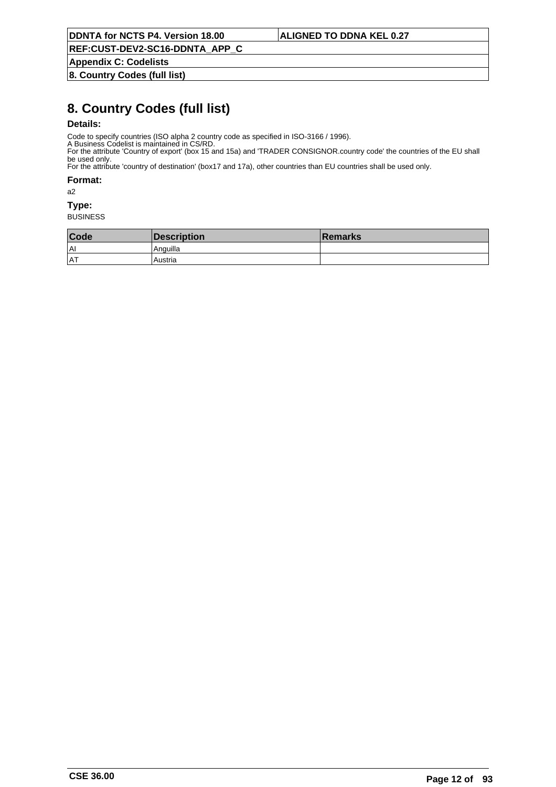**Appendix C: Codelists**

**8. Country Codes (full list)**

# **8. Country Codes (full list)**

## **Details:**

Code to specify countries (ISO alpha 2 country code as specified in ISO-3166 / 1996).

A Business Codelist is maintained in CS/RD. For the attribute 'Country of export' (box 15 and 15a) and 'TRADER CONSIGNOR.country code' the countries of the EU shall be used only.

For the attribute 'country of destination' (box17 and 17a), other countries than EU countries shall be used only.

**Format:**

a2

### **Type:**

| Code      | Description | <b>Remarks</b> |
|-----------|-------------|----------------|
| l Al      | . Anguilla  |                |
| <b>AT</b> | Austria     |                |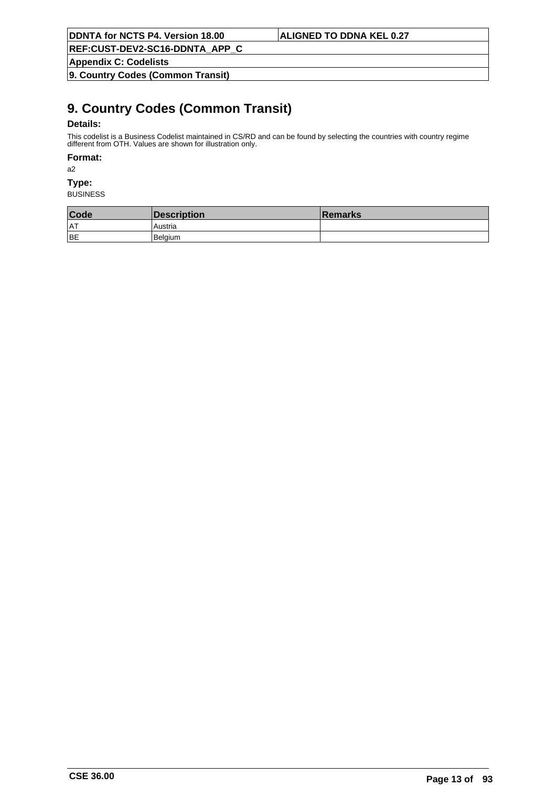**REF:CUST-DEV2-SC16-DDNTA\_APP\_C**

**Appendix C: Codelists**

**9. Country Codes (Common Transit)**

# **9. Country Codes (Common Transit)**

## **Details:**

This codelist is a Business Codelist maintained in CS/RD and can be found by selecting the countries with country regime different from OTH. Values are shown for illustration only.

### **Format:**

a2

# **Type:**

| Code       | <b>Description</b> | ∣Remarks |
|------------|--------------------|----------|
| <b>IAT</b> | Austria            |          |
| BE         | l Belaium          |          |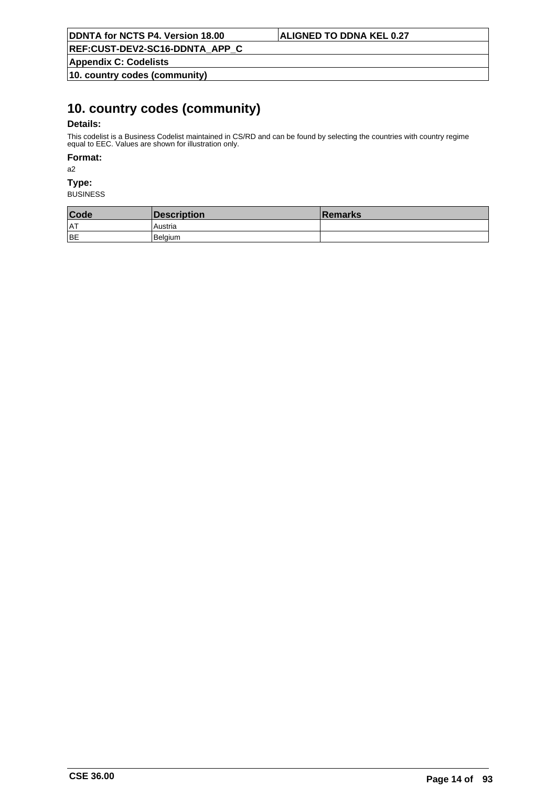**Appendix C: Codelists**

**10. country codes (community)**

# **10. country codes (community)**

## **Details:**

This codelist is a Business Codelist maintained in CS/RD and can be found by selecting the countries with country regime equal to EEC. Values are shown for illustration only.

### **Format:**

a2

# **Type:**

| Code       | <b>Description</b> | ∣Remarks |
|------------|--------------------|----------|
| <b>IAT</b> | Austria            |          |
| BE         | l Belaium          |          |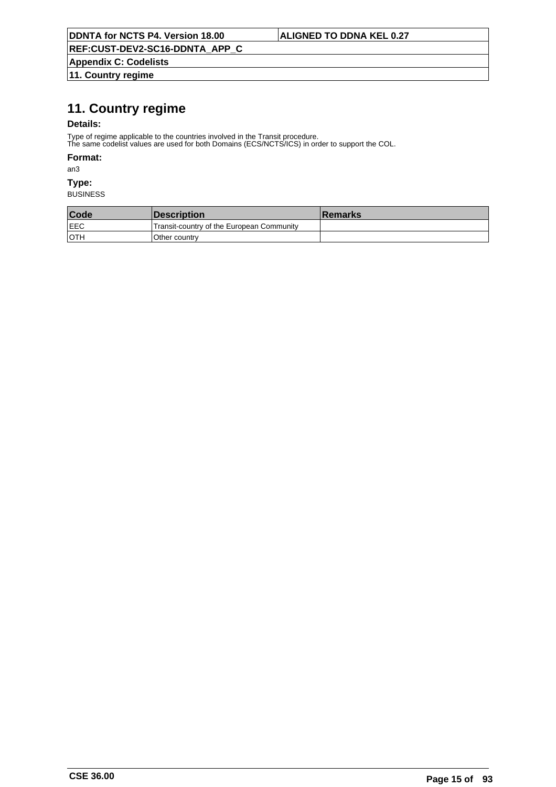**REF:CUST-DEV2-SC16-DDNTA\_APP\_C**

**Appendix C: Codelists 11. Country regime**

# **11. Country regime**

## **Details:**

Type of regime applicable to the countries involved in the Transit procedure.

The same codelist values are used for both Domains (ECS/NCTS/ICS) in order to support the COL.

## **Format:**

an3

# **Type:**

| Code        | <b>Description</b>                        | ⊺Remarks |
|-------------|-------------------------------------------|----------|
| <b>IEEC</b> | Transit-country of the European Community |          |
| ∣oth        | Other country                             |          |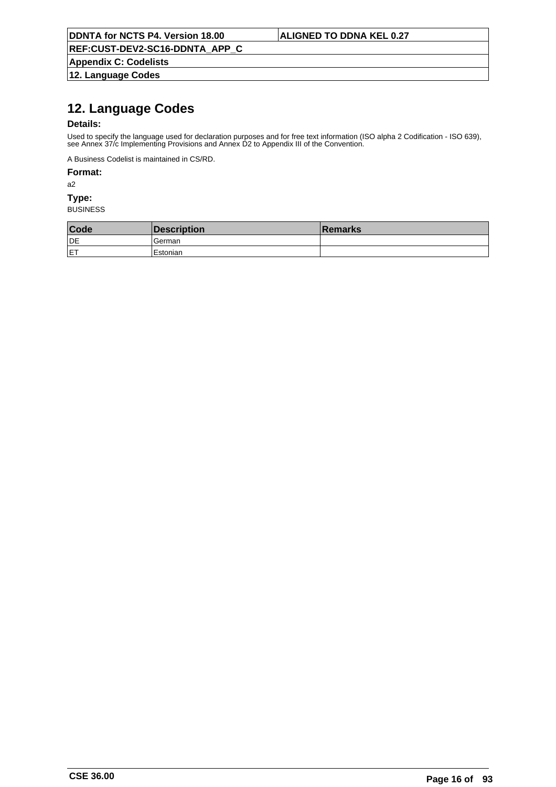**REF:CUST-DEV2-SC16-DDNTA\_APP\_C**

**Appendix C: Codelists 12. Language Codes**

# **12. Language Codes**

## **Details:**

Used to specify the language used for declaration purposes and for free text information (ISO alpha 2 Codification - ISO 639), see Annex 37/c Implementing Provisions and Annex D2 to Appendix III of the Convention.

A Business Codelist is maintained in CS/RD.

### **Format:**

a2

## **Type:**

| Code       | Description | <b>Remarks</b> |
|------------|-------------|----------------|
| <b>IDE</b> | German      |                |
| <b>IET</b> | Estonian    |                |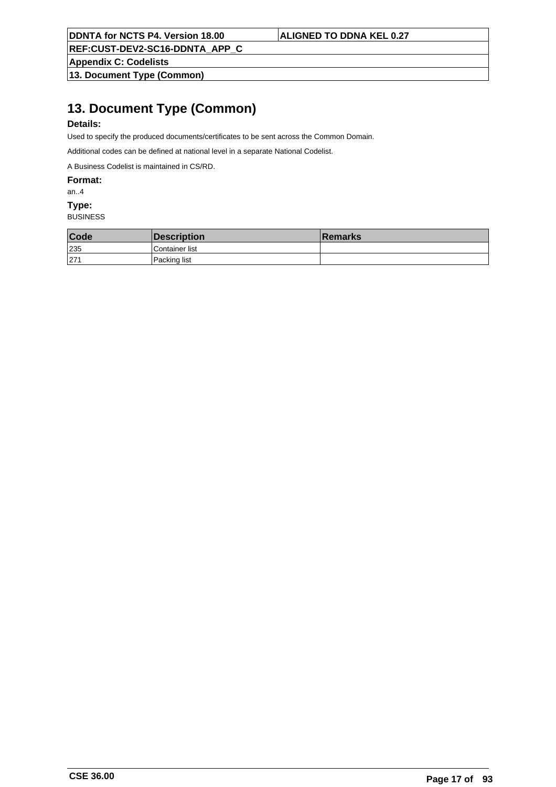**REF:CUST-DEV2-SC16-DDNTA\_APP\_C**

**Appendix C: Codelists**

**13. Document Type (Common)**

# **13. Document Type (Common)**

## **Details:**

Used to specify the produced documents/certificates to be sent across the Common Domain.

Additional codes can be defined at national level in a separate National Codelist.

A Business Codelist is maintained in CS/RD.

**Format:**

#### an..4

### **Type:**

| Code | Description     | <b>Remarks</b> |
|------|-----------------|----------------|
| 235  | 'Container list |                |
| 271  | l Packing list  |                |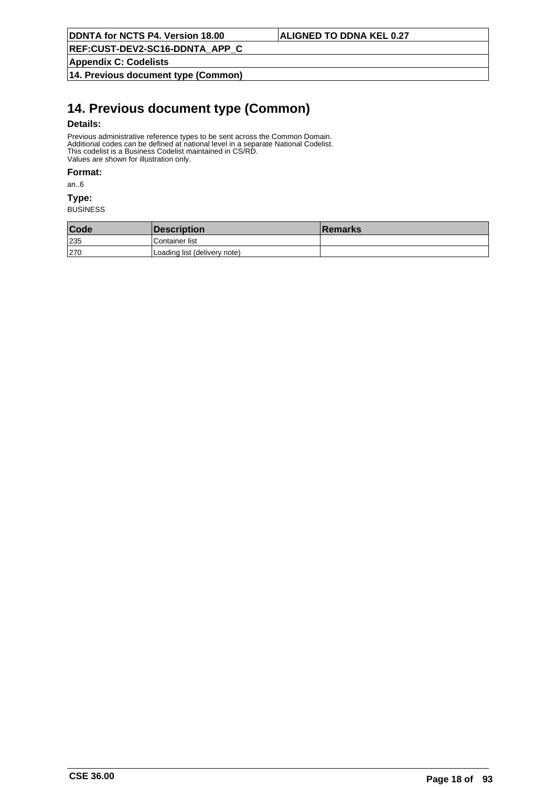**Appendix C: Codelists**

**14. Previous document type (Common)**

# **14. Previous document type (Common)**

## **Details:**

Previous administrative reference types to be sent across the Common Domain. Additional codes can be defined at national level in a separate National Codelist. This codelist is a Business Codelist maintained in CS/RD. Values are shown for illustration only.

#### **Format:**

an..6

### **Type:**

| Code | <b>Description</b>           | <b>Remarks</b> |
|------|------------------------------|----------------|
| 235  | Container list               |                |
| 270  | Loading list (delivery note) |                |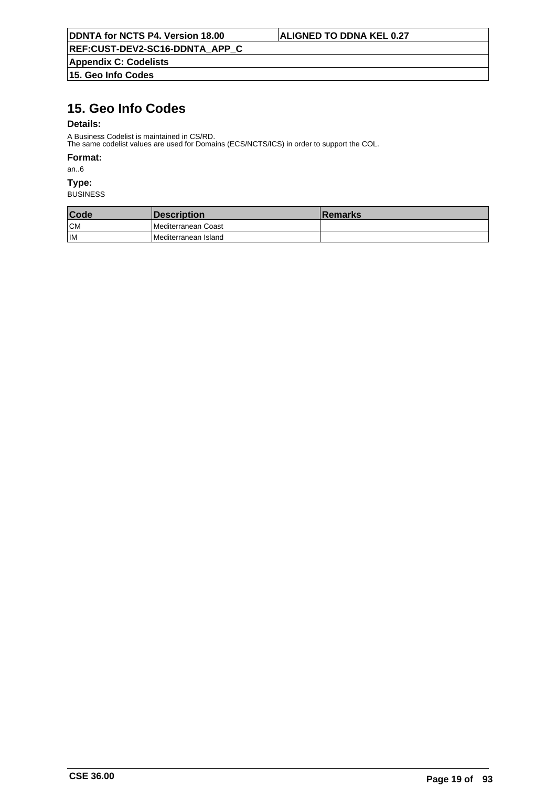**Appendix C: Codelists 15. Geo Info Codes**

# **15. Geo Info Codes**

## **Details:**

A Business Codelist is maintained in CS/RD. The same codelist values are used for Domains (ECS/NCTS/ICS) in order to support the COL.

### **Format:**

an..6

# **Type:**

| Code | <b>Description</b>          | ⊺Remarks |
|------|-----------------------------|----------|
| CM   | <b>IMediterranean Coast</b> |          |
| İІМ  | Mediterranean Island        |          |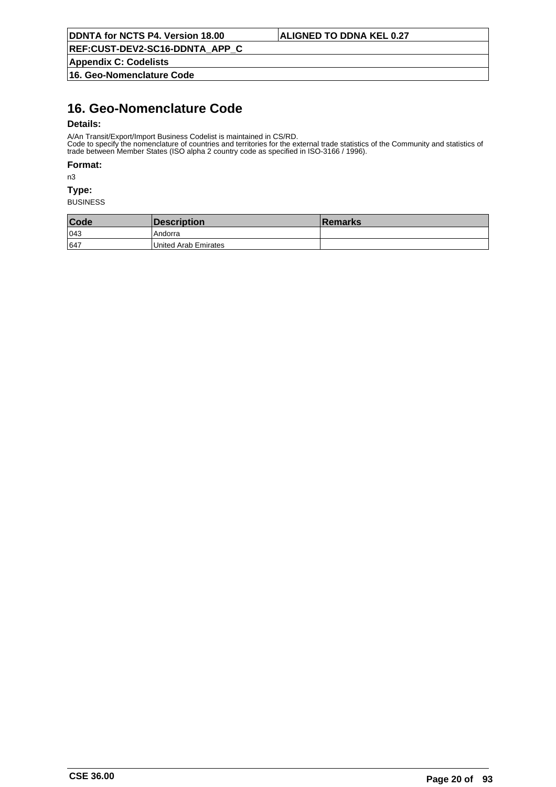**Appendix C: Codelists**

**16. Geo-Nomenclature Code**

# **16. Geo-Nomenclature Code**

## **Details:**

A/An Transit/Export/Import Business Codelist is maintained in CS/RD.

Code to specify the nomenclature of countries and territories for the external trade statistics of the Community and statistics of trade between Member States (ISO alpha 2 country code as specified in ISO-3166 / 1996).

#### **Format:**

n3

#### **Type:**

| Code | Description          | <b>∣Remarks</b> |
|------|----------------------|-----------------|
| 043  | 'Andorra             |                 |
| 647  | United Arab Emirates |                 |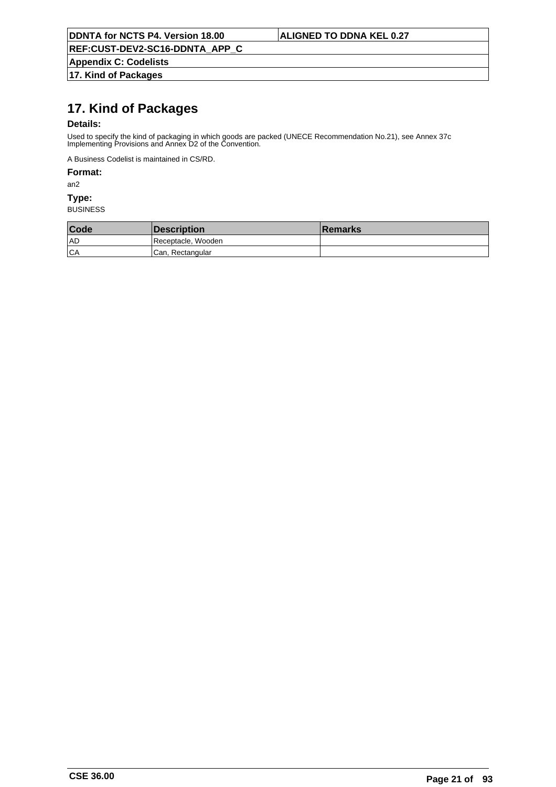**REF:CUST-DEV2-SC16-DDNTA\_APP\_C**

**Appendix C: Codelists 17. Kind of Packages**

# **17. Kind of Packages**

## **Details:**

Used to specify the kind of packaging in which goods are packed (UNECE Recommendation No.21), see Annex 37c Implementing Provisions and Annex D2 of the Convention.

A Business Codelist is maintained in CS/RD.

## **Format:**

an2

### **Type:**

| Code | <i><b>Description</b></i> | <b>Remarks</b> |
|------|---------------------------|----------------|
| 1 AD | Receptacle, Wooden        |                |
| CA   | Can, Rectangular          |                |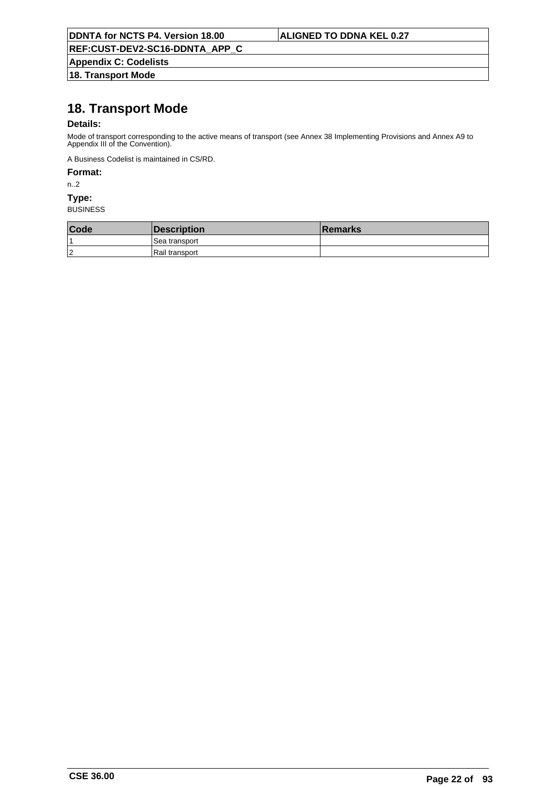**REF:CUST-DEV2-SC16-DDNTA\_APP\_C**

**Appendix C: Codelists 18. Transport Mode**

# **18. Transport Mode**

## **Details:**

Mode of transport corresponding to the active means of transport (see Annex 38 Implementing Provisions and Annex A9 to Appendix III of the Convention).

A Business Codelist is maintained in CS/RD.

### **Format:**

n..2

#### **Type:**

| Code   | Description      | <b>Remarks</b> |
|--------|------------------|----------------|
|        | l Sea transport  |                |
| $\sim$ | l Rail transport |                |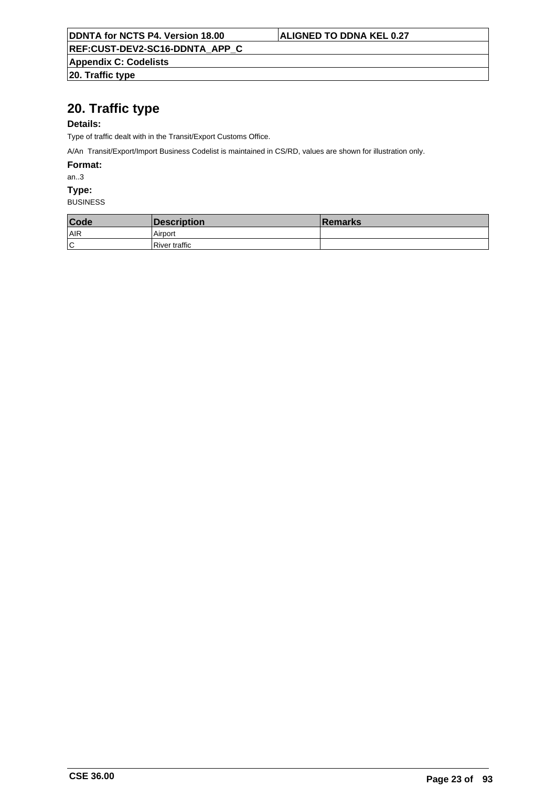**Appendix C: Codelists**

**20. Traffic type**

# **20. Traffic type**

## **Details:**

Type of traffic dealt with in the Transit/Export Customs Office.

A/An Transit/Export/Import Business Codelist is maintained in CS/RD, values are shown for illustration only.

**Format:**

an..3

**Type:**

| Code | Description   | <b>∣Remarks</b> |
|------|---------------|-----------------|
| AIR  | Airport       |                 |
| ١c   | River traffic |                 |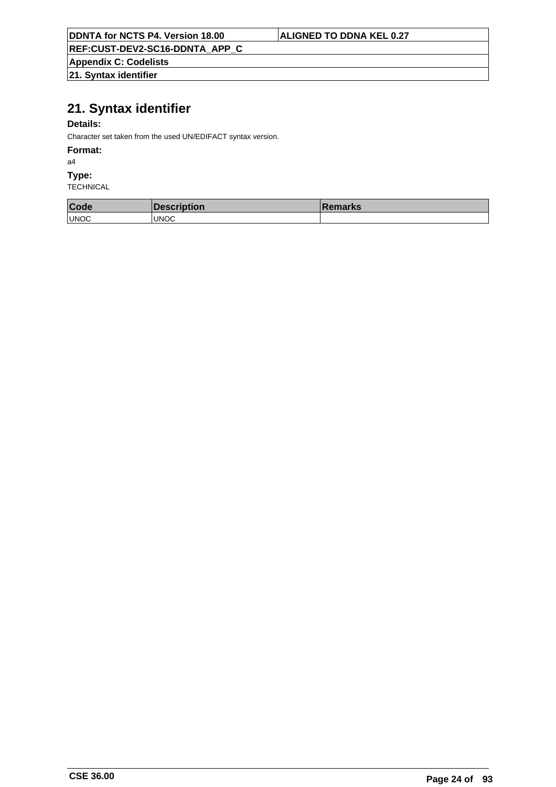## **REF:CUST-DEV2-SC16-DDNTA\_APP\_C**

**Appendix C: Codelists**

**21. Syntax identifier**

# **21. Syntax identifier**

## **Details:**

Character set taken from the used UN/EDIFACT syntax version.

#### **Format:**

a4

#### **Type:**

| Code        | Description  | <b>Remarks</b> |
|-------------|--------------|----------------|
| <b>UNOC</b> | <b>IUNOC</b> |                |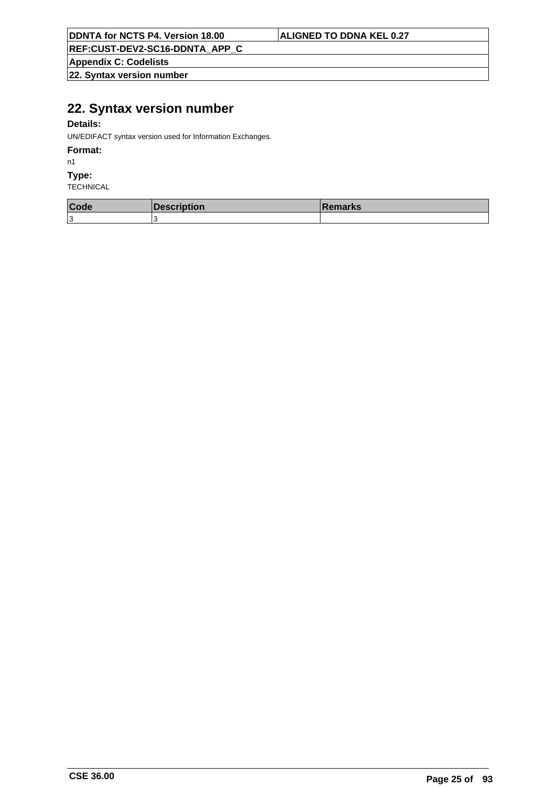**REF:CUST-DEV2-SC16-DDNTA\_APP\_C**

**Appendix C: Codelists**

**22. Syntax version number**

# **22. Syntax version number**

## **Details:**

UN/EDIFACT syntax version used for Information Exchanges.

### **Format:**

n1

### **Type:**

| Code | Description | ∣Remarks |
|------|-------------|----------|
| 1З   |             |          |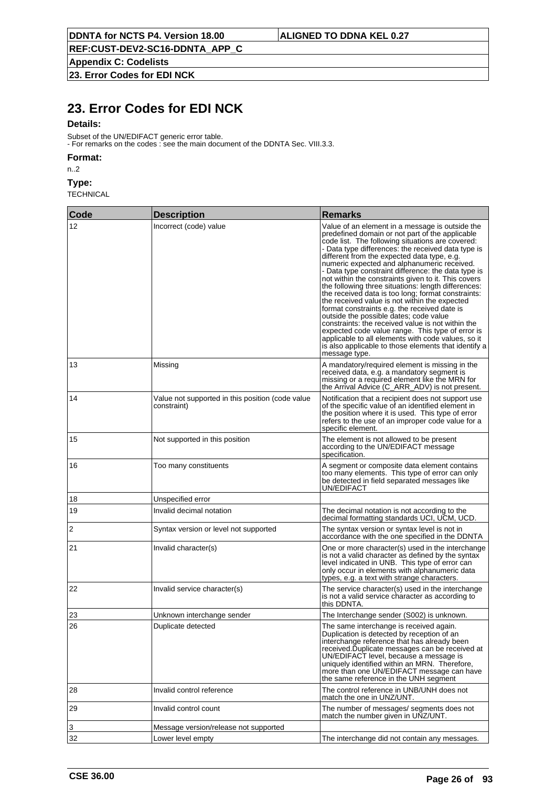**Appendix C: Codelists**

**23. Error Codes for EDI NCK**

# **23. Error Codes for EDI NCK**

### **Details:**

Subset of the UN/EDIFACT generic error table. - For remarks on the codes : see the main document of the DDNTA Sec. VIII.3.3.

### **Format:**

n..2

## **Type:**

| Code | <b>Description</b>                                              | <b>Remarks</b>                                                                                                                                                                                                                                                                                                                                                                                                                                                                                                                                                                                                                                                                                                                                                                                                                                                                                                           |  |
|------|-----------------------------------------------------------------|--------------------------------------------------------------------------------------------------------------------------------------------------------------------------------------------------------------------------------------------------------------------------------------------------------------------------------------------------------------------------------------------------------------------------------------------------------------------------------------------------------------------------------------------------------------------------------------------------------------------------------------------------------------------------------------------------------------------------------------------------------------------------------------------------------------------------------------------------------------------------------------------------------------------------|--|
| 12   | Incorrect (code) value                                          | Value of an element in a message is outside the<br>predefined domain or not part of the applicable<br>code list. The following situations are covered:<br>- Data type differences: the received data type is<br>different from the expected data type, e.g.<br>numeric expected and alphanumeric received.<br>- Data type constraint difference: the data type is<br>not within the constraints given to it. This covers<br>the following three situations: length differences:<br>the received data is too long; format constraints:<br>the received value is not within the expected<br>format constraints e.g. the received date is<br>outside the possible dates; code value<br>constraints: the received value is not within the<br>expected code value range. This type of error is<br>applicable to all elements with code values, so it<br>is also applicable to those elements that identify a<br>message type. |  |
| 13   | Missing                                                         | A mandatory/required element is missing in the<br>received data, e.g. a mandatory segment is<br>missing or a required element like the MRN for<br>the Arrival Advice (C_ARR_ADV) is not present.                                                                                                                                                                                                                                                                                                                                                                                                                                                                                                                                                                                                                                                                                                                         |  |
| 14   | Value not supported in this position (code value<br>constraint) | Notification that a recipient does not support use.<br>of the specific value of an identified element in<br>the position where it is used. This type of error<br>refers to the use of an improper code value for a<br>specific element.                                                                                                                                                                                                                                                                                                                                                                                                                                                                                                                                                                                                                                                                                  |  |
| 15   | Not supported in this position                                  | The element is not allowed to be present<br>according to the UN/EDIFACT message<br>specification.                                                                                                                                                                                                                                                                                                                                                                                                                                                                                                                                                                                                                                                                                                                                                                                                                        |  |
| 16   | Too many constituents                                           | A segment or composite data element contains<br>too many elements. This type of error can only<br>be detected in field separated messages like<br>UN/EDIFACT                                                                                                                                                                                                                                                                                                                                                                                                                                                                                                                                                                                                                                                                                                                                                             |  |
| 18   | Unspecified error                                               |                                                                                                                                                                                                                                                                                                                                                                                                                                                                                                                                                                                                                                                                                                                                                                                                                                                                                                                          |  |
| 19   | Invalid decimal notation                                        | The decimal notation is not according to the<br>decimal formatting standards UCI, UCM, UCD.                                                                                                                                                                                                                                                                                                                                                                                                                                                                                                                                                                                                                                                                                                                                                                                                                              |  |
| 2    | Syntax version or level not supported                           | The syntax version or syntax level is not in<br>accordance with the one specified in the DDNTA                                                                                                                                                                                                                                                                                                                                                                                                                                                                                                                                                                                                                                                                                                                                                                                                                           |  |
| 21   | Invalid character(s)                                            | One or more character(s) used in the interchange<br>is not a valid character as defined by the syntax<br>level indicated in UNB. This type of error can<br>only occur in elements with alphanumeric data<br>types, e.g. a text with strange characters.                                                                                                                                                                                                                                                                                                                                                                                                                                                                                                                                                                                                                                                                  |  |
| 22   | Invalid service character(s)                                    | The service character(s) used in the interchange<br>is not a valid service character as according to<br>this DDNTA.                                                                                                                                                                                                                                                                                                                                                                                                                                                                                                                                                                                                                                                                                                                                                                                                      |  |
| 23   | Unknown interchange sender                                      | The Interchange sender (S002) is unknown.                                                                                                                                                                                                                                                                                                                                                                                                                                                                                                                                                                                                                                                                                                                                                                                                                                                                                |  |
| 26   | Duplicate detected                                              | The same interchange is received again.<br>Duplication is detected by reception of an<br>interchange reference that has already been<br>received.Duplicate messages can be received at<br>UN/EDIFACT level, because a message is<br>uniquely identified within an MRN. Therefore,<br>more than one UN/EDIFACT message can have<br>the same reference in the UNH segment                                                                                                                                                                                                                                                                                                                                                                                                                                                                                                                                                  |  |
| 28   | Invalid control reference                                       | The control reference in UNB/UNH does not<br>match the one in UNZ/UNT.                                                                                                                                                                                                                                                                                                                                                                                                                                                                                                                                                                                                                                                                                                                                                                                                                                                   |  |
| 29   | Invalid control count                                           | The number of messages/ segments does not<br>match the number given in UNZ/UNT.                                                                                                                                                                                                                                                                                                                                                                                                                                                                                                                                                                                                                                                                                                                                                                                                                                          |  |
| 3    | Message version/release not supported                           |                                                                                                                                                                                                                                                                                                                                                                                                                                                                                                                                                                                                                                                                                                                                                                                                                                                                                                                          |  |
| 32   | Lower level empty                                               | The interchange did not contain any messages.                                                                                                                                                                                                                                                                                                                                                                                                                                                                                                                                                                                                                                                                                                                                                                                                                                                                            |  |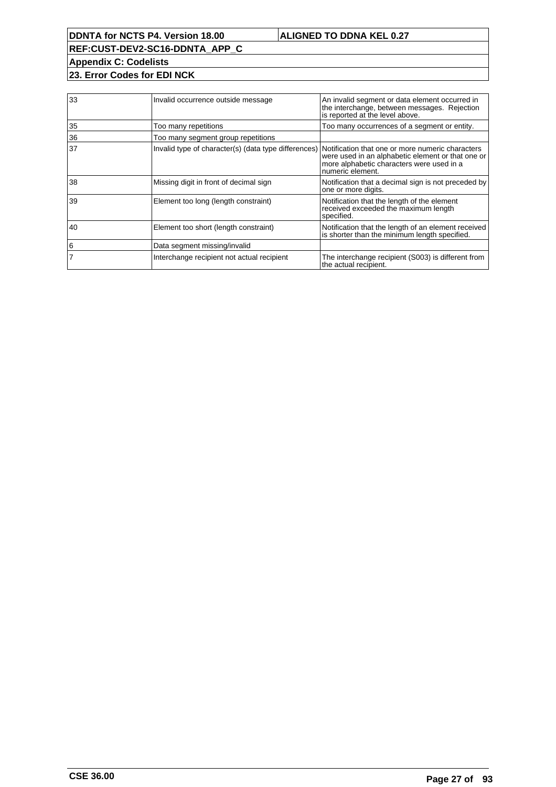**REF:CUST-DEV2-SC16-DDNTA\_APP\_C Appendix C: Codelists**

**23. Error Codes for EDI NCK**

| 33 | Invalid occurrence outside message                                                                    | An invalid segment or data element occurred in<br>the interchange, between messages. Rejection<br>is reported at the level above. |
|----|-------------------------------------------------------------------------------------------------------|-----------------------------------------------------------------------------------------------------------------------------------|
| 35 | Too many repetitions                                                                                  | Too many occurrences of a segment or entity.                                                                                      |
| 36 | Too many segment group repetitions                                                                    |                                                                                                                                   |
| 37 | Invalid type of character(s) (data type differences) Notification that one or more numeric characters | were used in an alphabetic element or that one or<br>more alphabetic characters were used in a<br>numeric element.                |
| 38 | Missing digit in front of decimal sign                                                                | Notification that a decimal sign is not preceded by<br>one or more digits.                                                        |
| 39 | Element too long (length constraint)                                                                  | Notification that the length of the element<br>received exceeded the maximum length<br>specified.                                 |
| 40 | Element too short (length constraint)                                                                 | Notification that the length of an element received<br>is shorter than the minimum length specified.                              |
| 6  | Data segment missing/invalid                                                                          |                                                                                                                                   |
|    | Interchange recipient not actual recipient                                                            | The interchange recipient (S003) is different from<br>the actual recipient.                                                       |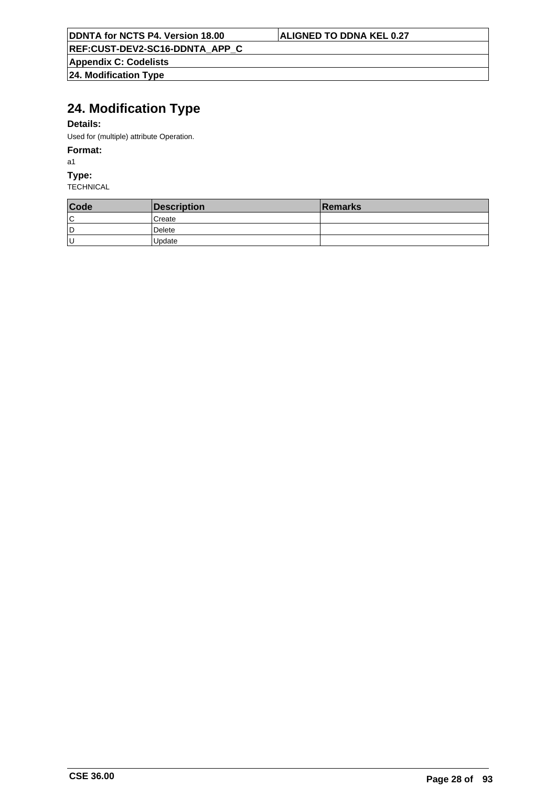**REF:CUST-DEV2-SC16-DDNTA\_APP\_C**

**Appendix C: Codelists 24. Modification Type**

# **24. Modification Type**

## **Details:**

Used for (multiple) attribute Operation.

## **Format:**

a1

**Type:**

| Code | Description   | Remarks |
|------|---------------|---------|
| ١c   | <b>Create</b> |         |
| ١D   | Delete        |         |
| lυ   | Update        |         |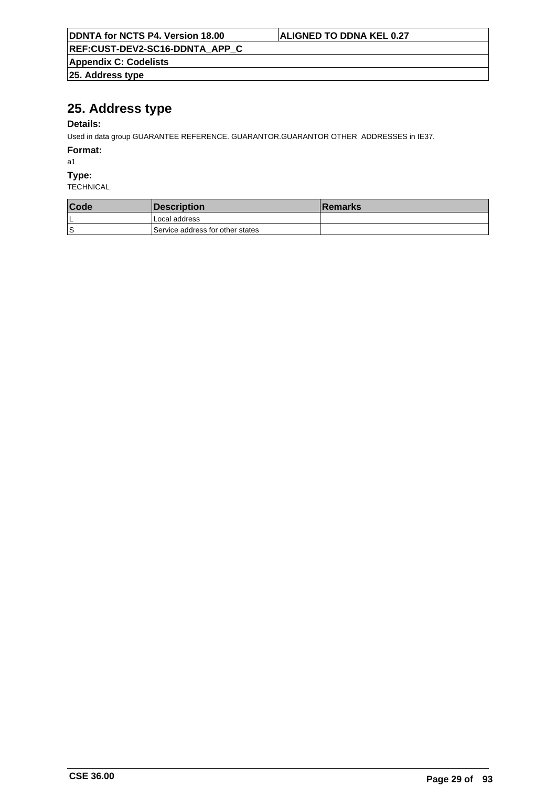| DDNTA for NCTS P4. Version 18.00 | <b>ALIGNED TO DDNA KEL 0.27</b> |
|----------------------------------|---------------------------------|
| REF:CUST-DEV2-SC16-DDNTA APP C   |                                 |
| <b>Appendix C: Codelists</b>     |                                 |
| $ 25.$ Address type              |                                 |

# **25. Address type**

# **Details:**

Used in data group GUARANTEE REFERENCE. GUARANTOR.GUARANTOR OTHER ADDRESSES in IE37.

**Format:**

a1

**Type:**

| <b>Code</b> | <b>Description</b>               | ∣Remarks |
|-------------|----------------------------------|----------|
| ►           | Local address                    |          |
| S           | Service address for other states |          |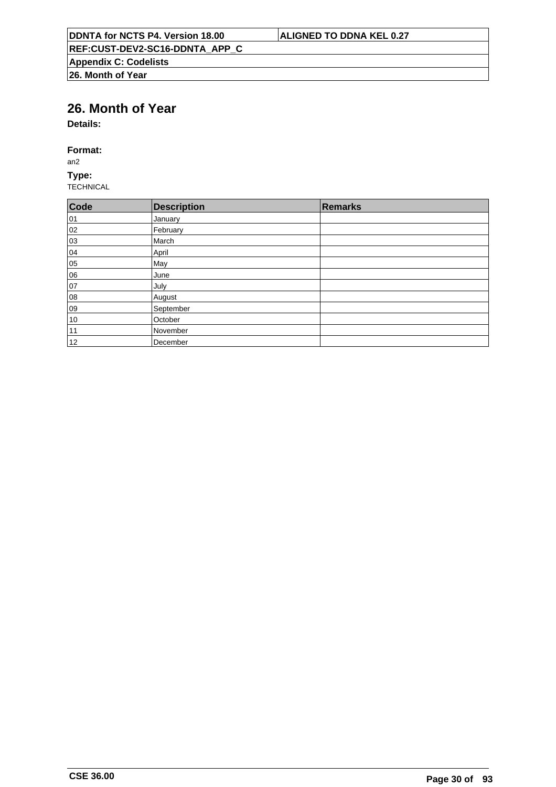# **26. Month of Year**

**Details:**

## **Format:**

an2

**Type:** TECHNICAL

| Code | Description | Remarks |
|------|-------------|---------|
| 01   | January     |         |
| 02   | February    |         |
| 03   | March       |         |
| 04   | April       |         |
| 05   | May         |         |
| 06   | June        |         |
| 07   | July        |         |
| 08   | August      |         |
| 09   | September   |         |
| 10   | October     |         |
| 11   | November    |         |
| 12   | December    |         |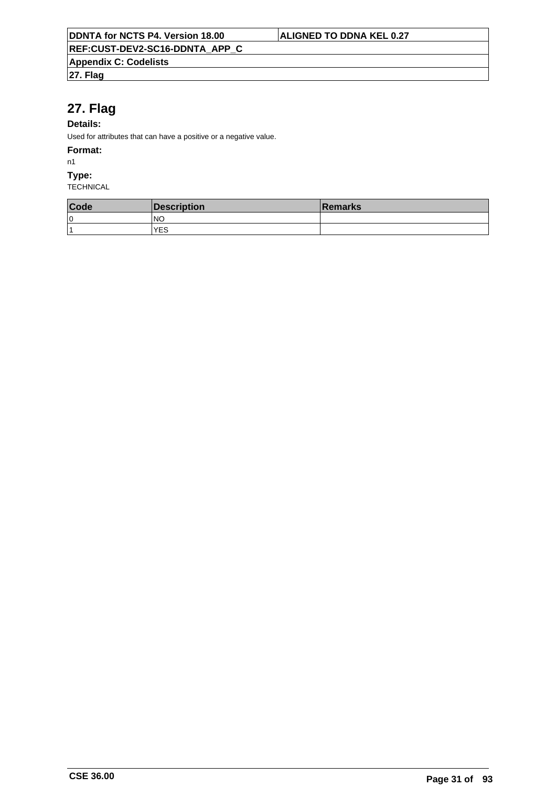# **27. Flag**

## **Details:**

Used for attributes that can have a positive or a negative value.

### **Format:**

n1

### **Type:**

| Code                    | Description | <b>Remarks</b> |
|-------------------------|-------------|----------------|
| 0 ا                     | INO         |                |
| $\overline{\mathbf{A}}$ | YES         |                |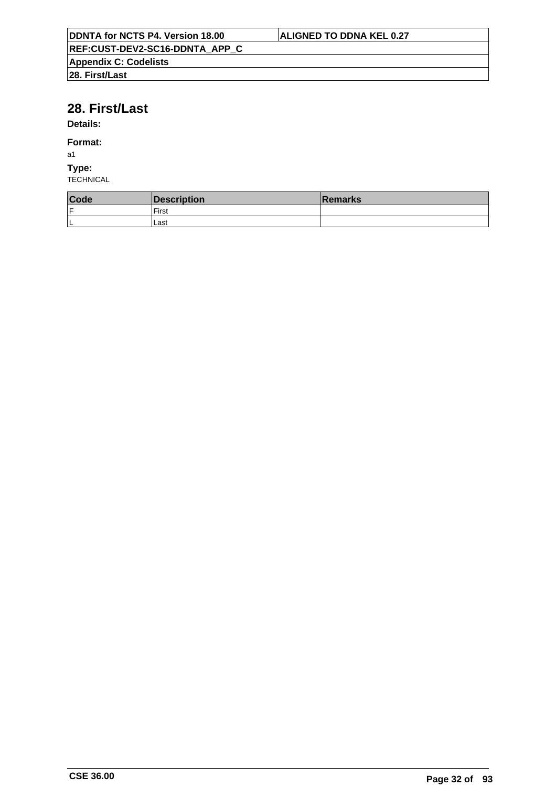# **28. First/Last**

# **Details:**

## **Format:**

a1

# **Type:**

| Code | Description | <b>Remarks</b> |
|------|-------------|----------------|
| lF   | First       |                |
| ΙL   | Last        |                |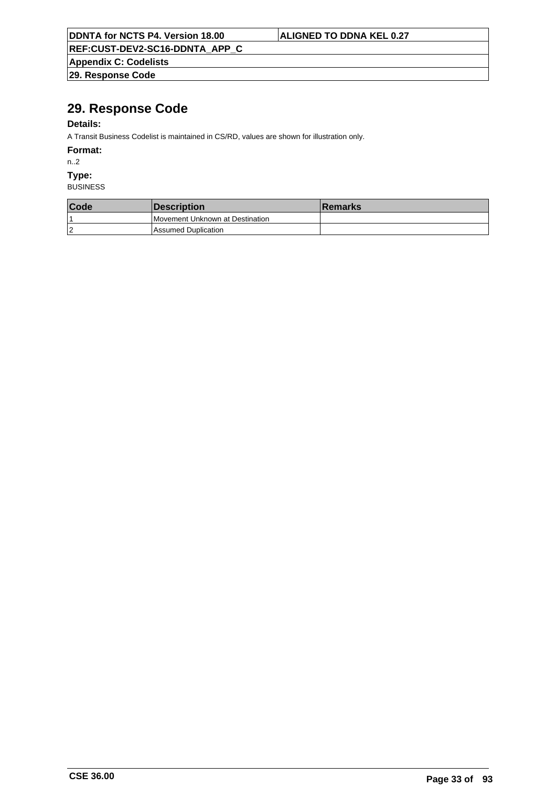|  |  |  |  |  |  | <b>DDNTA for NCTS P4. Version 18.00</b> |  |
|--|--|--|--|--|--|-----------------------------------------|--|
|--|--|--|--|--|--|-----------------------------------------|--|

## **ALIGNED TO DDNA KEL 0.27**

**REF:CUST-DEV2-SC16-DDNTA\_APP\_C**

**Appendix C: Codelists 29. Response Code**

# **29. Response Code**

## **Details:**

A Transit Business Codelist is maintained in CS/RD, values are shown for illustration only.

**Format:**

n..2

**Type:**

| Code           | <i><b>Description</b></i>       | <b>Remarks</b> |
|----------------|---------------------------------|----------------|
|                | Movement Unknown at Destination |                |
| $\overline{2}$ | Assumed Duplication             |                |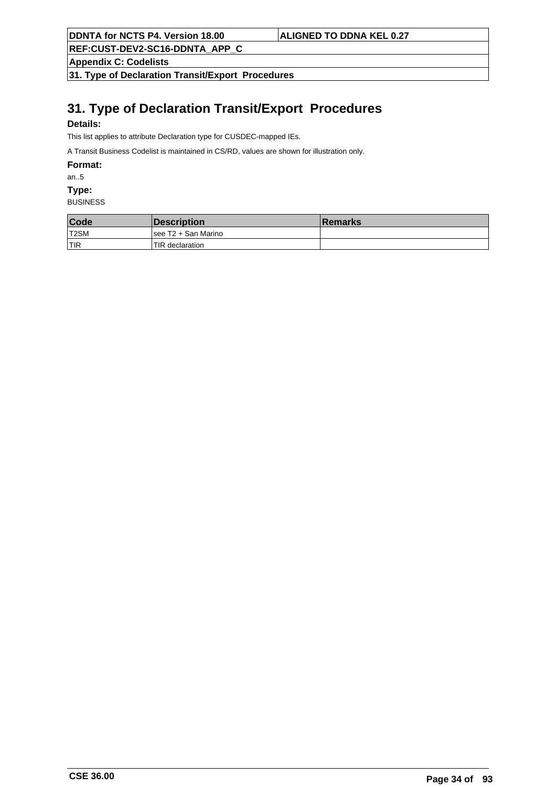**REF:CUST-DEV2-SC16-DDNTA\_APP\_C**

**Appendix C: Codelists**

**31. Type of Declaration Transit/Export Procedures**

# **31. Type of Declaration Transit/Export Procedures**

## **Details:**

This list applies to attribute Declaration type for CUSDEC-mapped IEs.

A Transit Business Codelist is maintained in CS/RD, values are shown for illustration only.

**Format:**

an..5

**Type:**

| Code       | <b>IDescription</b>  | <b>Remarks</b> |
|------------|----------------------|----------------|
| T2SM       | Isee T2 + San Marino |                |
| <b>TIR</b> | TIR declaration      |                |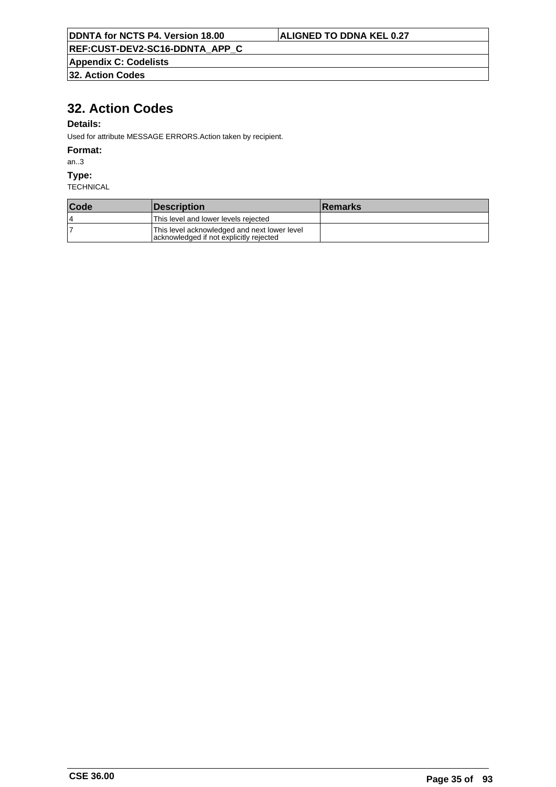**REF:CUST-DEV2-SC16-DDNTA\_APP\_C**

**Appendix C: Codelists**

**32. Action Codes**

# **32. Action Codes**

## **Details:**

Used for attribute MESSAGE ERRORS.Action taken by recipient.

### **Format:**

an..3

## **Type:**

| Code | <i><b>IDescription</b></i>                                                              | <b>Remarks</b> |
|------|-----------------------------------------------------------------------------------------|----------------|
| 4    | This level and lower levels rejected                                                    |                |
|      | This level acknowledged and next lower level<br>acknowledged if not explicitly rejected |                |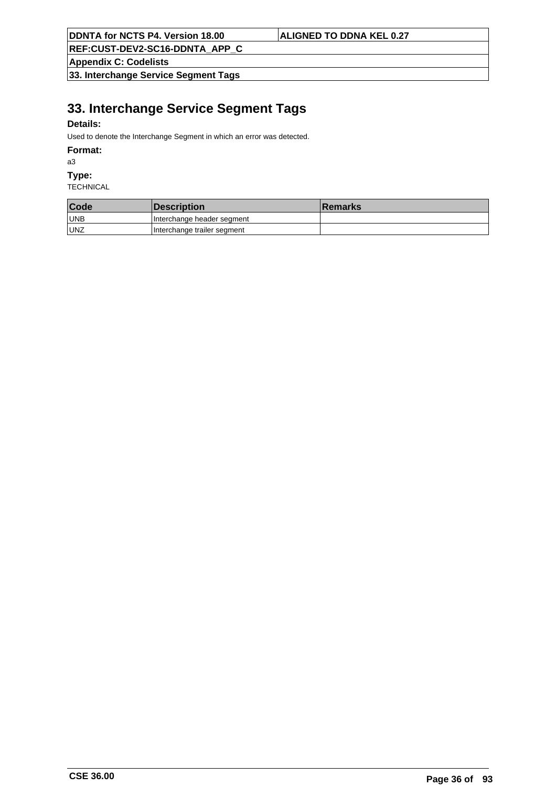**REF:CUST-DEV2-SC16-DDNTA\_APP\_C**

**Appendix C: Codelists**

**33. Interchange Service Segment Tags**

# **33. Interchange Service Segment Tags**

## **Details:**

Used to denote the Interchange Segment in which an error was detected.

#### **Format:**

a3

### **Type:**

| Code       | <i><b>Description</b></i>   | <b>Remarks</b> |
|------------|-----------------------------|----------------|
| <b>UNB</b> | Interchange header segment  |                |
| <b>UNZ</b> | Interchange trailer segment |                |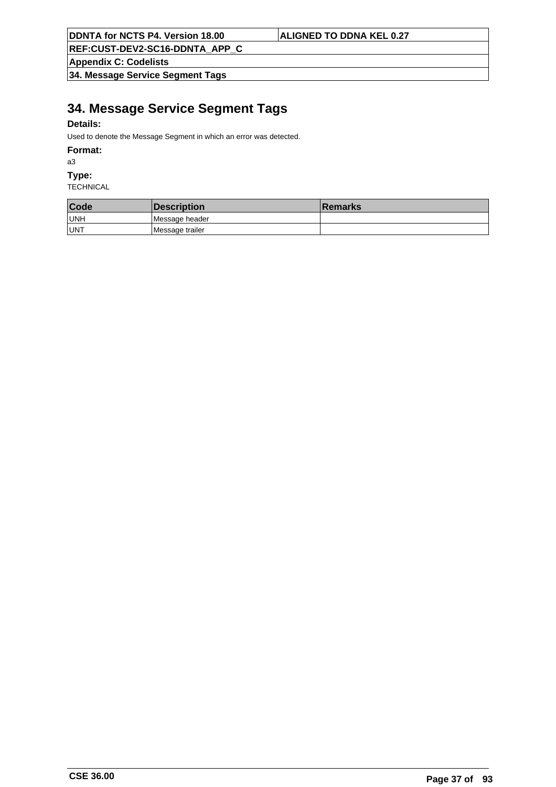**REF:CUST-DEV2-SC16-DDNTA\_APP\_C**

**Appendix C: Codelists**

**34. Message Service Segment Tags**

# **34. Message Service Segment Tags**

## **Details:**

Used to denote the Message Segment in which an error was detected.

### **Format:**

a3

## **Type:**

| Code       | <b>Description</b> | <b>Remarks</b> |
|------------|--------------------|----------------|
| UNH        | Message header     |                |
| <b>UNT</b> | Message trailer    |                |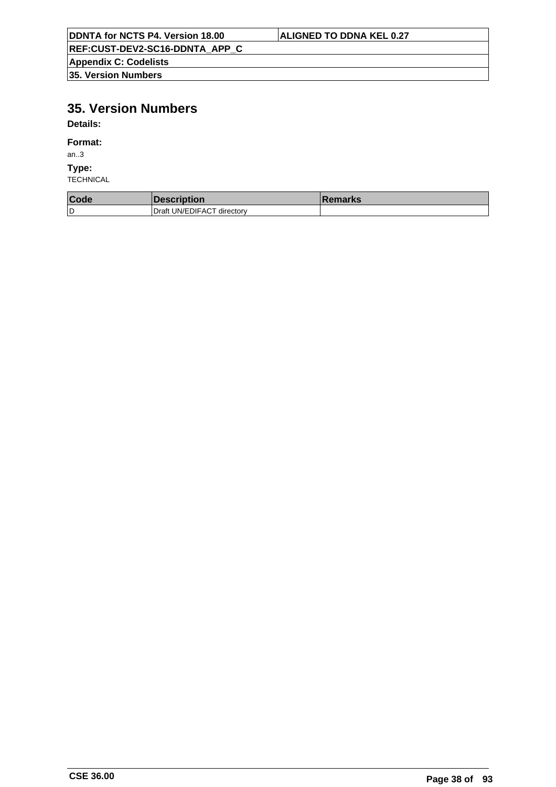| DDNTA for NCTS P4. Version 18.00      | <b>ALIGNED TO DDNA KEL 0.27</b> |
|---------------------------------------|---------------------------------|
| <b>REF:CUST-DEV2-SC16-DDNTA APP C</b> |                                 |
| <b>Appendix C: Codelists</b>          |                                 |
| 35. Version Numbers                   |                                 |

# **35. Version Numbers**

**Details:**

## **Format:**

an..3

### **Type:**

| Code | <b>Description</b>         | <b>Remarks</b> |
|------|----------------------------|----------------|
| ۱D   | Draft UN/EDIFACT directory |                |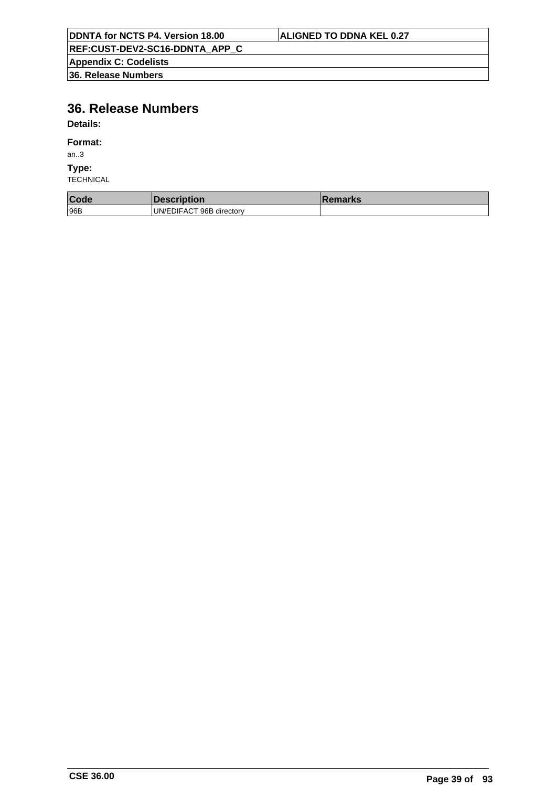| <b>DDNTA for NCTS P4. Version 18.00</b> | <b>ALIGNED TO DDNA KEL 0.27</b> |
|-----------------------------------------|---------------------------------|
| REF:CUST-DEV2-SC16-DDNTA_APP_C          |                                 |
| <b>Appendix C: Codelists</b>            |                                 |
| 36. Release Numbers                     |                                 |

# **36. Release Numbers**

**Details:**

## **Format:**

an..3

**Type:**

| Code | <b>DESCRIPTION</b>       | emarks |
|------|--------------------------|--------|
| 96B  | UN/EDIFACT 96B directory |        |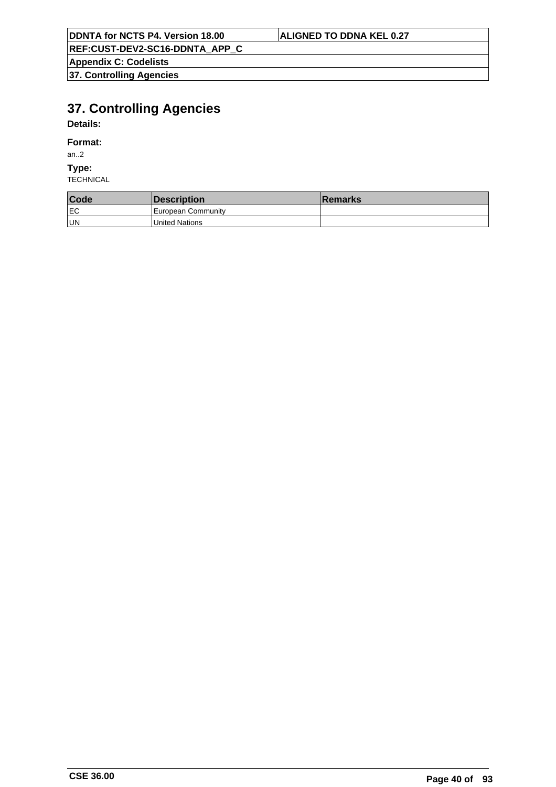**Appendix C: Codelists 37. Controlling Agencies**

# **37. Controlling Agencies**

# **Details:**

## **Format:**

an..2

## **Type:**

| Code | <i><b>Description</b></i> | <b>Remarks</b> |
|------|---------------------------|----------------|
| lEC  | European Community        |                |
| un   | United Nations            |                |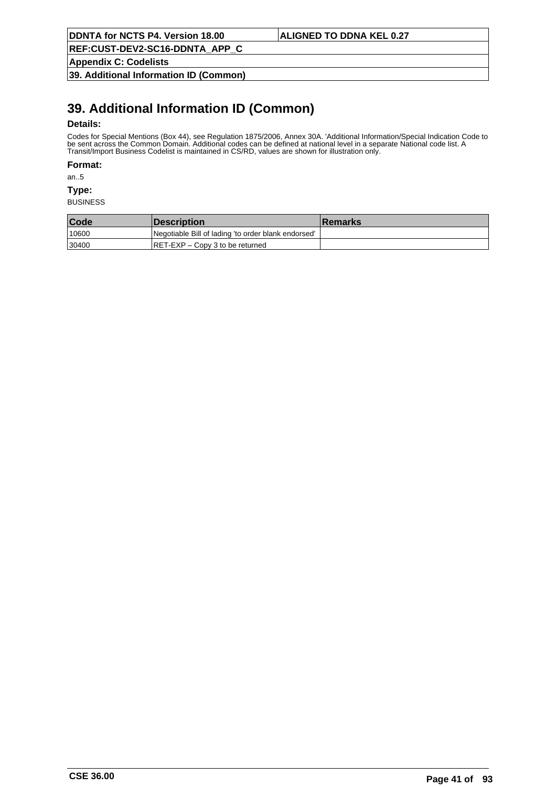**REF:CUST-DEV2-SC16-DDNTA\_APP\_C**

**Appendix C: Codelists**

**39. Additional Information ID (Common)**

# **39. Additional Information ID (Common)**

### **Details:**

Codes for Special Mentions (Box 44), see Regulation 1875/2006, Annex 30A. 'Additional Information/Special Indication Code to be sent across the Common Domain. Additional codes can be defined at national level in a separate National code list. A Transit/Import Business Codelist is maintained in CS/RD, values are shown for illustration only.

**Format:**

an..5

**Type:**

| Code  | <i><b>Description</b></i>                           | <b>Remarks</b> |
|-------|-----------------------------------------------------|----------------|
| 10600 | Negotiable Bill of lading 'to order blank endorsed' |                |
| 30400 | $ RET-EXP - Copy 3$ to be returned                  |                |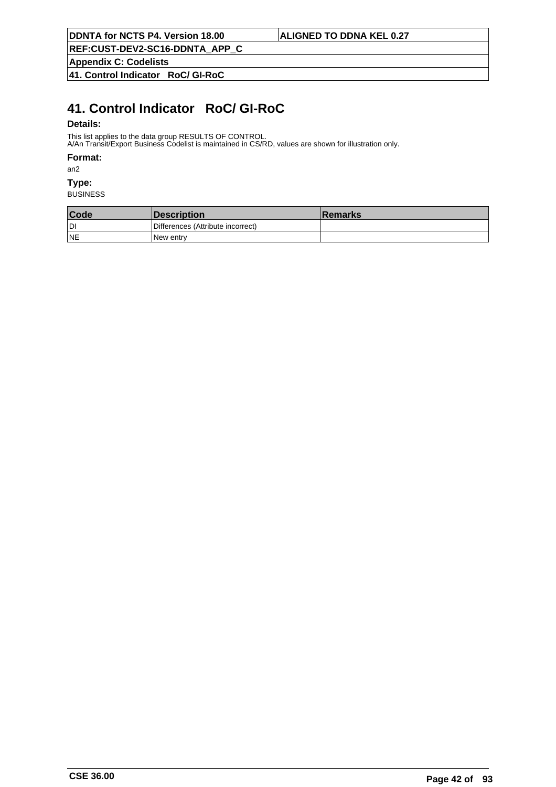**REF:CUST-DEV2-SC16-DDNTA\_APP\_C**

**Appendix C: Codelists**

**41. Control Indicator RoC/ GI-RoC**

# **41. Control Indicator RoC/ GI-RoC**

### **Details:**

This list applies to the data group RESULTS OF CONTROL.

A/An Transit/Export Business Codelist is maintained in CS/RD, values are shown for illustration only.

## **Format:**

an2

## **Type:**

| Code      | Description                       | <b>Remarks</b> |
|-----------|-----------------------------------|----------------|
| ldi       | Differences (Attribute incorrect) |                |
| <b>NE</b> | INew entrv                        |                |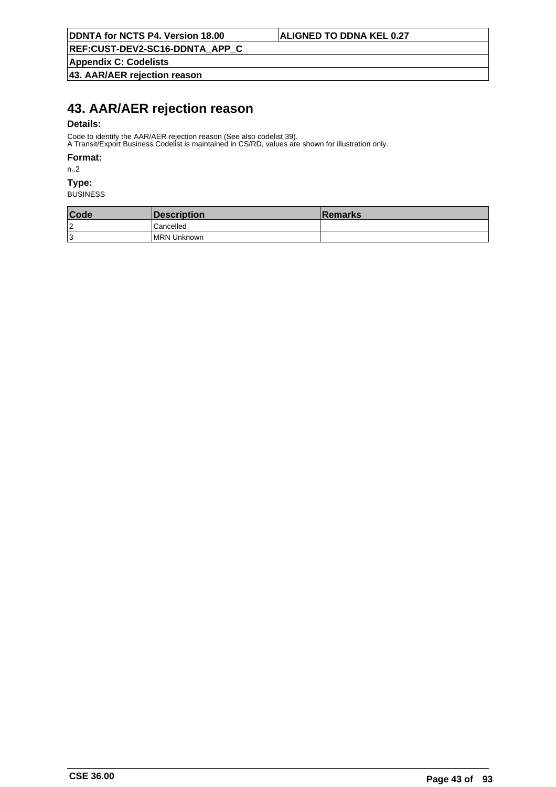**Appendix C: Codelists**

**43. AAR/AER rejection reason**

# **43. AAR/AER rejection reason**

### **Details:**

Code to identify the AAR/AER rejection reason (See also codelist 39).

A Transit/Export Business Codelist is maintained in CS/RD, values are shown for illustration only.

### **Format:**

n..2

## **Type:**

| Code | Description         | <b>Remarks</b> |
|------|---------------------|----------------|
| 12   | Cancelled           |                |
| 13   | <b>IMRN Unknown</b> |                |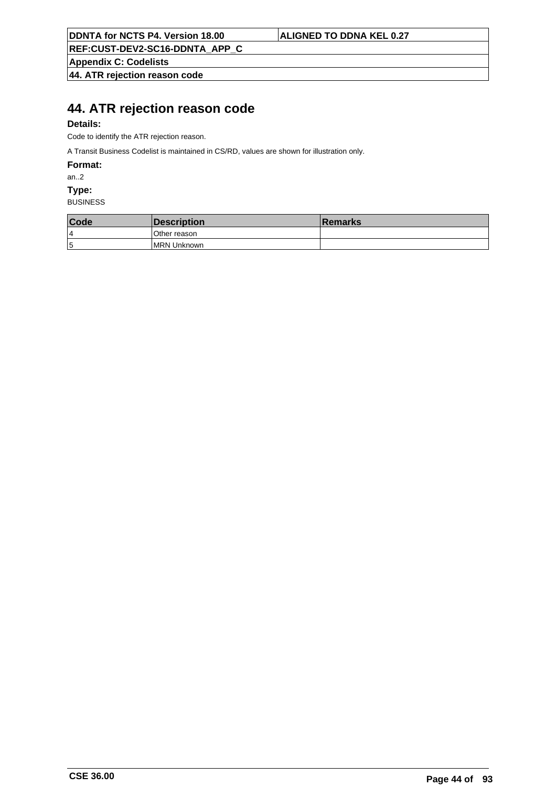**REF:CUST-DEV2-SC16-DDNTA\_APP\_C**

**Appendix C: Codelists**

**44. ATR rejection reason code**

# **44. ATR rejection reason code**

## **Details:**

Code to identify the ATR rejection reason.

A Transit Business Codelist is maintained in CS/RD, values are shown for illustration only.

**Format:**

an..2

**Type:**

| Code | <i><b>Description</b></i> | <b>Remarks</b> |
|------|---------------------------|----------------|
| 4    | lOther reason             |                |
| 5    | <b>IMRN Unknown</b>       |                |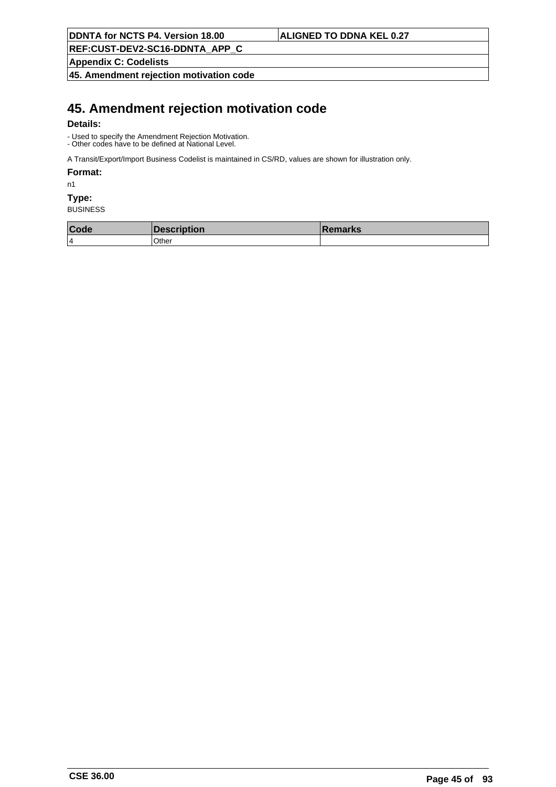**REF:CUST-DEV2-SC16-DDNTA\_APP\_C**

**Appendix C: Codelists**

**45. Amendment rejection motivation code**

# **45. Amendment rejection motivation code**

### **Details:**

- Used to specify the Amendment Rejection Motivation. - Other codes have to be defined at National Level.

A Transit/Export/Import Business Codelist is maintained in CS/RD, values are shown for illustration only.

### **Format:**

n1

## **Type:**

| Code | <i><b>Description</b></i> | ∣Remarks |
|------|---------------------------|----------|
| 14   | Other                     |          |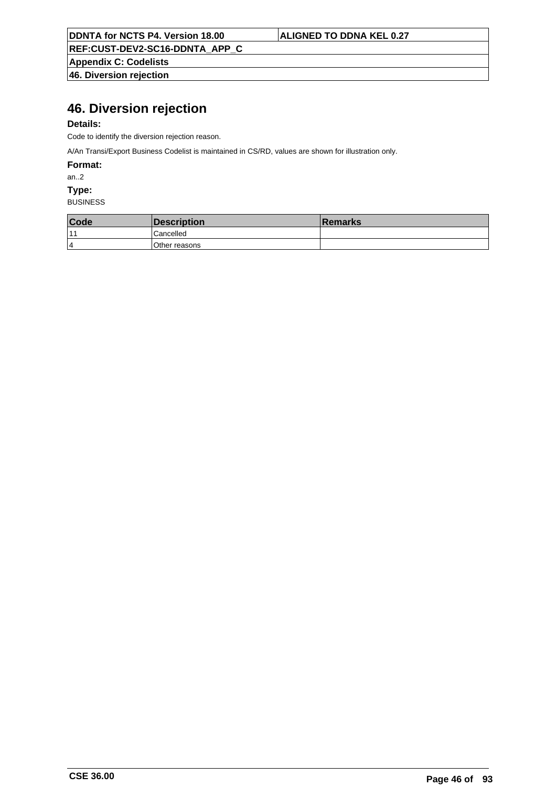**REF:CUST-DEV2-SC16-DDNTA\_APP\_C**

**Appendix C: Codelists 46. Diversion rejection**

# **46. Diversion rejection**

## **Details:**

Code to identify the diversion rejection reason.

A/An Transi/Export Business Codelist is maintained in CS/RD, values are shown for illustration only.

**Format:**

an..2

**Type:**

| Code           | <i><b>Description</b></i> | <b>Remarks</b> |
|----------------|---------------------------|----------------|
| $-11$          | Cancelled                 |                |
| $\overline{4}$ | Other reasons             |                |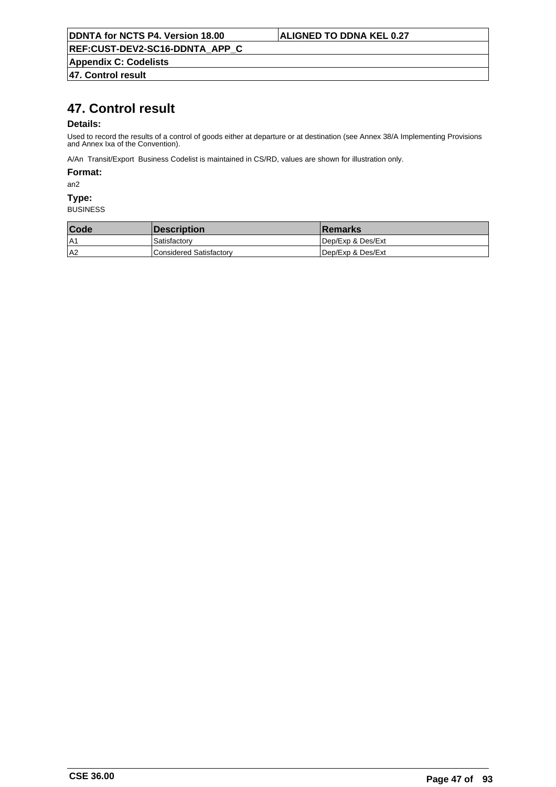**Appendix C: Codelists**

**47. Control result**

# **47. Control result**

### **Details:**

Used to record the results of a control of goods either at departure or at destination (see Annex 38/A Implementing Provisions and Annex Ixa of the Convention).

A/An Transit/Export Business Codelist is maintained in CS/RD, values are shown for illustration only.

## **Format:**

an2

### **Type:**

| <b>Code</b> | <b>Description</b>             | <b>Remarks</b>    |
|-------------|--------------------------------|-------------------|
| A1          | Satisfactory                   | Dep/Exp & Des/Ext |
| A2          | <b>Considered Satisfactory</b> | Dep/Exp & Des/Ext |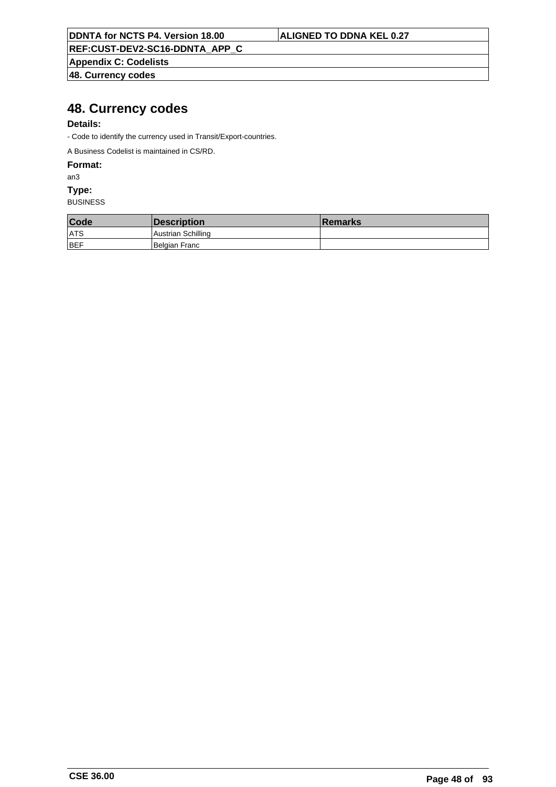**REF:CUST-DEV2-SC16-DDNTA\_APP\_C**

**Appendix C: Codelists**

**48. Currency codes**

# **48. Currency codes**

## **Details:**

- Code to identify the currency used in Transit/Export-countries.

A Business Codelist is maintained in CS/RD.

**Format:**

an3

**Type:**

| Code       | Description        | <b>∣Remarks</b> |
|------------|--------------------|-----------------|
| ATS        | Austrian Schilling |                 |
| <b>BEF</b> | Belgian Franc      |                 |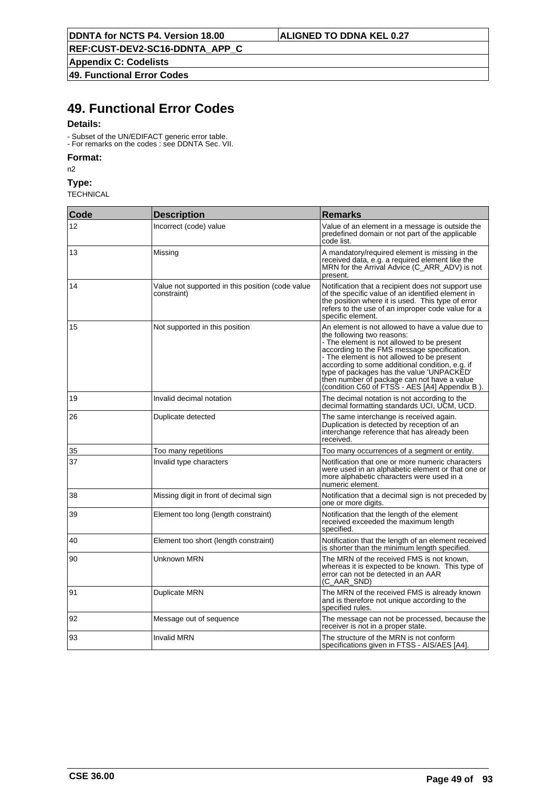**Appendix C: Codelists**

**49. Functional Error Codes**

# **49. Functional Error Codes**

### **Details:**

- Subset of the UN/EDIFACT generic error table. - For remarks on the codes : see DDNTA Sec. VII.

**Code Description Remarks** 

# **Format:**

n2

**Type: TECHNICAL** 

12 Incorrect (code) value Value Value Value of an element in a message is outside the predefined domain or not part of the applicable code list. 13 Missing Missing A mandatory/required element is missing in the received data, e.g. a required element like the MRN for the Arrival Advice (C\_ARR\_ADV) is not present. 14 Value not supported in this position (code value constraint) Notification that a recipient does not support use of the specific value of an identified element in the position where it is used. This type of error refers to the use of an improper code value for a specific element. 15 Not supported in this position Ann element is not allowed to have a value due to the following two reasons: - The element is not allowed to be present according to the FMS message specification. - The element is not allowed to be present according to some additional condition, e.g. if type of packages has the value 'UNPACKED' then number of package can not have a value (condition C60 of FTSS - AES [A4] Appendix B ). 19 Invalid decimal notation **The decimal notation The decimal notation** is not according to the decimal formatting standards UCI, UCM, UCD. 26 Duplicate detected The same interchange is received again. Duplication is detected by reception of an interchange reference that has already been received. 35 Too many repetitions Too many repetitions Too many occurrences of a segment or entity 37 Invalid type characters Notification that one or more numeric characters were used in an alphabetic element or that one or more alphabetic characters were used in a numeric element. 38 Missing digit in front of decimal sign Notification that a decimal sign is not preceded by one or more digits. 39 Element too long (length constraint) Notification that the length of the element received exceeded the maximum length specified. 40 Element too short (length constraint) Notification that the length of an element received is shorter than the minimum length specified. 90 **Unknown MRN** Unknown MRN Server The MRN of the received FMS is not known. whereas it is expected to be known. This type of error can not be detected in an AAR (C\_AAR\_SND) 91 Duplicate MRN **The MRN** of the received FMS is already known and is therefore not unique according to the specified rules. 92 Message out of sequence The message can not be processed, because the receiver is not in a proper state. 93 **Invalid MRN** Invalid MRN **The structure of the MRN** is not conform specifications given in FTSS - AIS/AES [A4].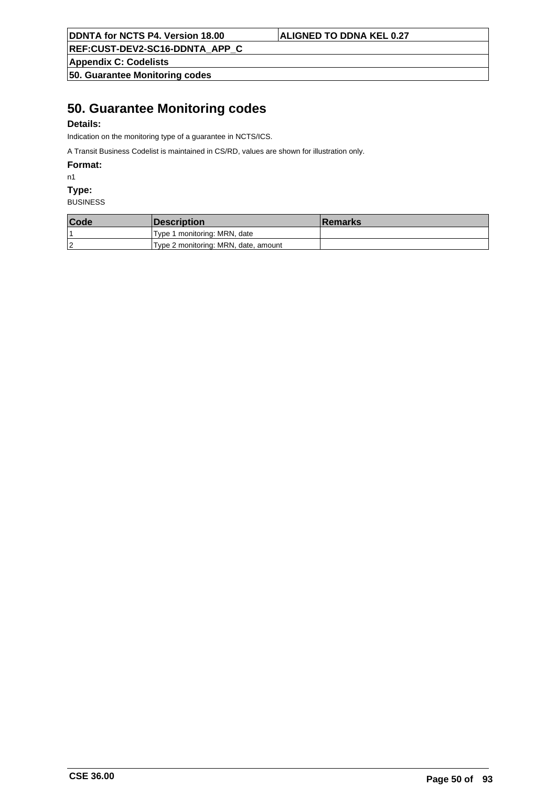**REF:CUST-DEV2-SC16-DDNTA\_APP\_C**

**Appendix C: Codelists**

**50. Guarantee Monitoring codes**

# **50. Guarantee Monitoring codes**

## **Details:**

Indication on the monitoring type of a guarantee in NCTS/ICS.

A Transit Business Codelist is maintained in CS/RD, values are shown for illustration only.

**Format:**

n1

**Type:**

| Code | <b>Description</b>                   | <b>Remarks</b> |
|------|--------------------------------------|----------------|
|      | Type 1 monitoring: MRN, date         |                |
| 2    | Type 2 monitoring: MRN, date, amount |                |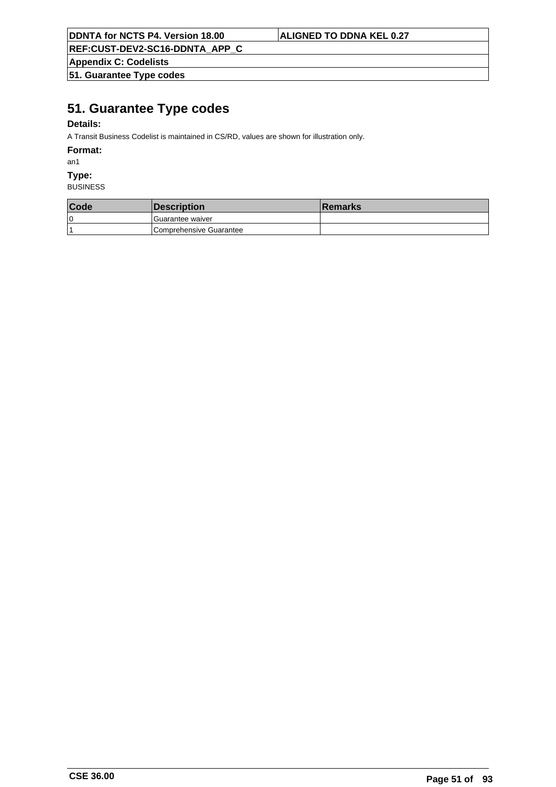**REF:CUST-DEV2-SC16-DDNTA\_APP\_C**

**Appendix C: Codelists**

**51. Guarantee Type codes**

# **51. Guarantee Type codes**

## **Details:**

A Transit Business Codelist is maintained in CS/RD, values are shown for illustration only.

### **Format:**

an1

### **Type:**

| Code | <b>Description</b>      | <b>Remarks</b> |
|------|-------------------------|----------------|
| 10   | l Guarantee waiver      |                |
|      | Comprehensive Guarantee |                |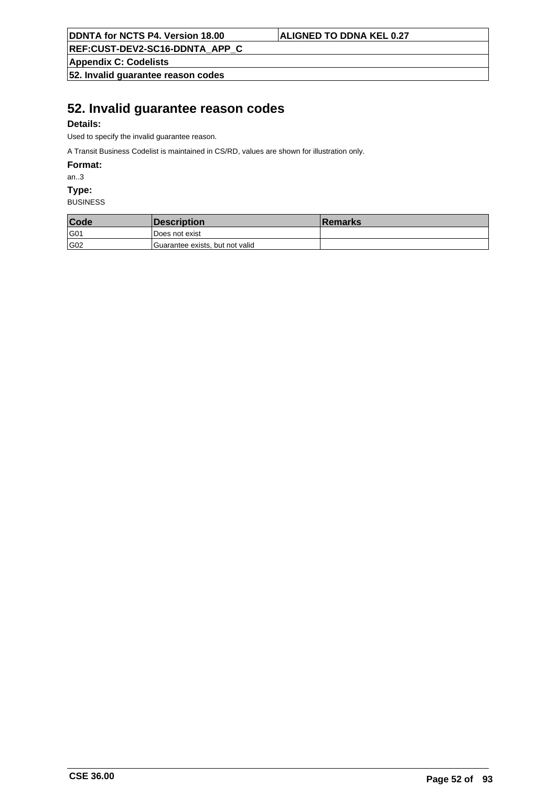**REF:CUST-DEV2-SC16-DDNTA\_APP\_C**

**Appendix C: Codelists**

**52. Invalid guarantee reason codes**

# **52. Invalid guarantee reason codes**

## **Details:**

Used to specify the invalid guarantee reason.

A Transit Business Codelist is maintained in CS/RD, values are shown for illustration only.

**Format:**

an..3

**Type:**

| Code | Description                     | <b>Remarks</b> |
|------|---------------------------------|----------------|
| G01  | l Does not exist                |                |
| G02  | Guarantee exists, but not valid |                |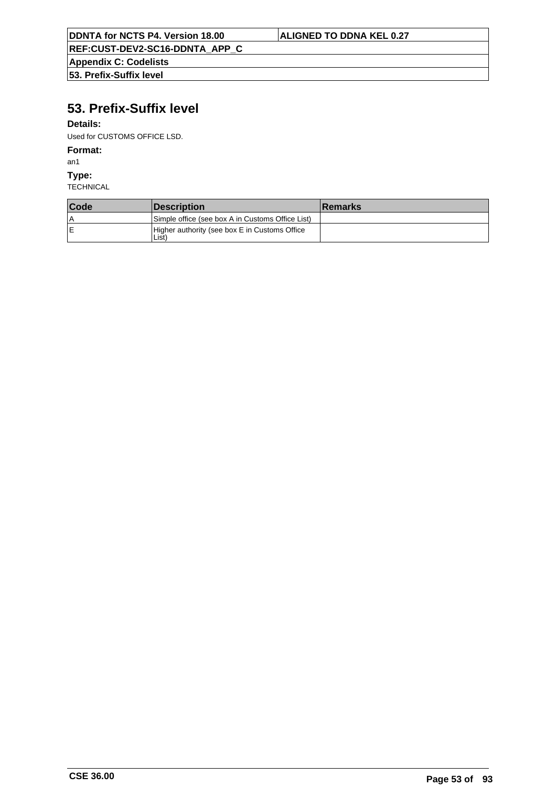**Appendix C: Codelists 53. Prefix-Suffix level**

# **53. Prefix-Suffix level**

## **Details:**

Used for CUSTOMS OFFICE LSD.

## **Format:**

an1

**Type:**

| Code | <i><b>Description</b></i>                                          | <b>Remarks</b> |
|------|--------------------------------------------------------------------|----------------|
| ١A   | Simple office (see box A in Customs Office List)                   |                |
| ΙE   | Higher authority (see box E in Customs Office<br>List <sup>)</sup> |                |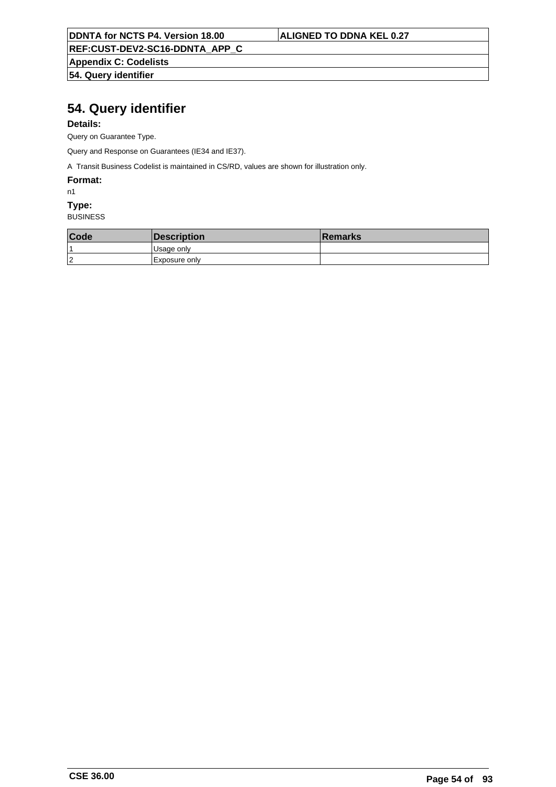**REF:CUST-DEV2-SC16-DDNTA\_APP\_C**

**Appendix C: Codelists 54. Query identifier**

# **54. Query identifier**

## **Details:**

Query on Guarantee Type.

Query and Response on Guarantees (IE34 and IE37).

A Transit Business Codelist is maintained in CS/RD, values are shown for illustration only.

### **Format:**

n1

# **Type:**

| Code | <i><b>Description</b></i> | <b>Remarks</b> |
|------|---------------------------|----------------|
|      | <sub>l</sub> Usage only   |                |
| 12   | Exposure only             |                |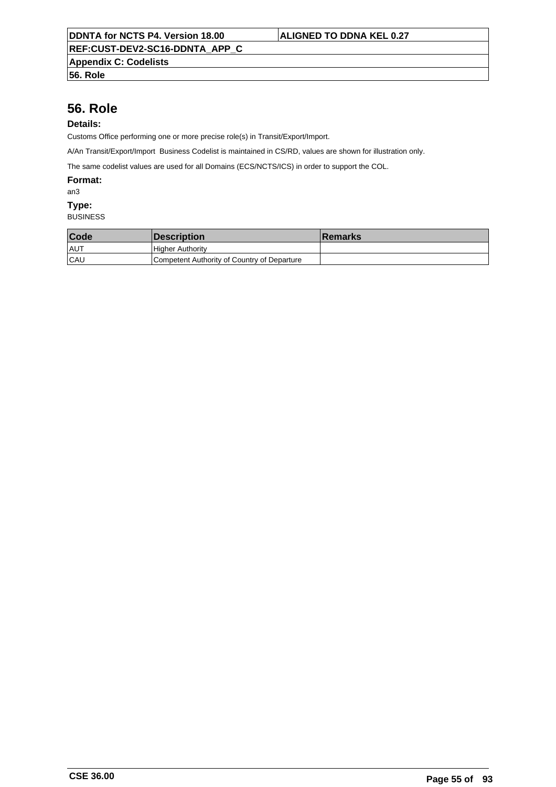**Appendix C: Codelists**

**56. Role**

# **56. Role**

## **Details:**

Customs Office performing one or more precise role(s) in Transit/Export/Import.

A/An Transit/Export/Import Business Codelist is maintained in CS/RD, values are shown for illustration only.

The same codelist values are used for all Domains (ECS/NCTS/ICS) in order to support the COL.

### **Format:**

an3

## **Type:**

| Code       | <i><b>Description</b></i>                   | ∣Remarks |
|------------|---------------------------------------------|----------|
| ∣AU™       | <b>Higher Authority</b>                     |          |
| <b>CAU</b> | Competent Authority of Country of Departure |          |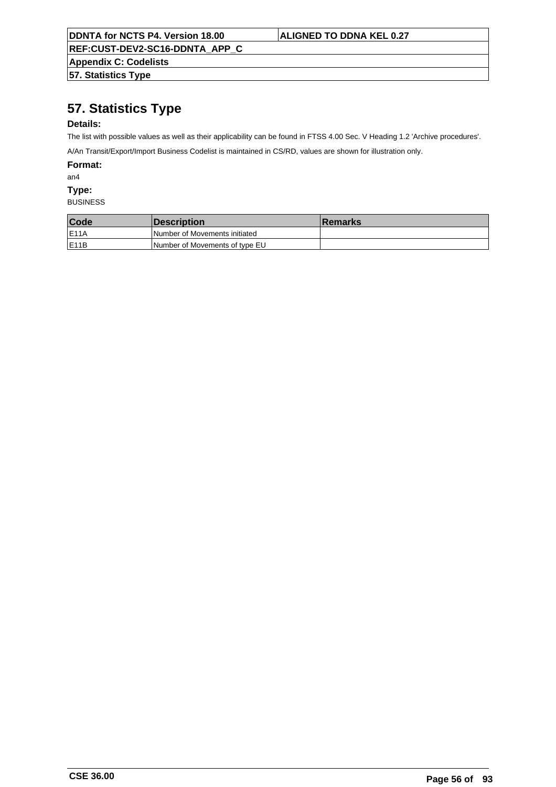**REF:CUST-DEV2-SC16-DDNTA\_APP\_C**

**Appendix C: Codelists 57. Statistics Type**

# **57. Statistics Type**

## **Details:**

The list with possible values as well as their applicability can be found in FTSS 4.00 Sec. V Heading 1.2 'Archive procedures'.

A/An Transit/Export/Import Business Codelist is maintained in CS/RD, values are shown for illustration only.

**Format:**

an4

**Type:**

| Code               | <i><b>Description</b></i>      | <b>Remarks</b> |
|--------------------|--------------------------------|----------------|
| <b>E11A</b>        | Number of Movements initiated  |                |
| IE <sub>11</sub> B | Number of Movements of type EU |                |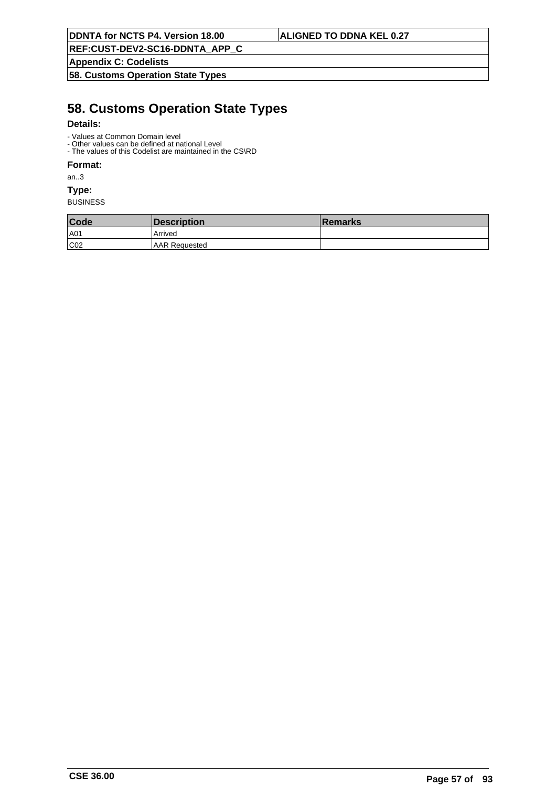**REF:CUST-DEV2-SC16-DDNTA\_APP\_C**

**Appendix C: Codelists**

**58. Customs Operation State Types**

# **58. Customs Operation State Types**

## **Details:**

- Values at Common Domain level
- Other values can be defined at national Level - The values of this Codelist are maintained in the CS\RD

## **Format:**

an..3

**Type:**

| Code | Description           | <b>∣Remarks</b> |
|------|-----------------------|-----------------|
| A01  | Arrived               |                 |
| CO2  | <b>IAAR Reauested</b> |                 |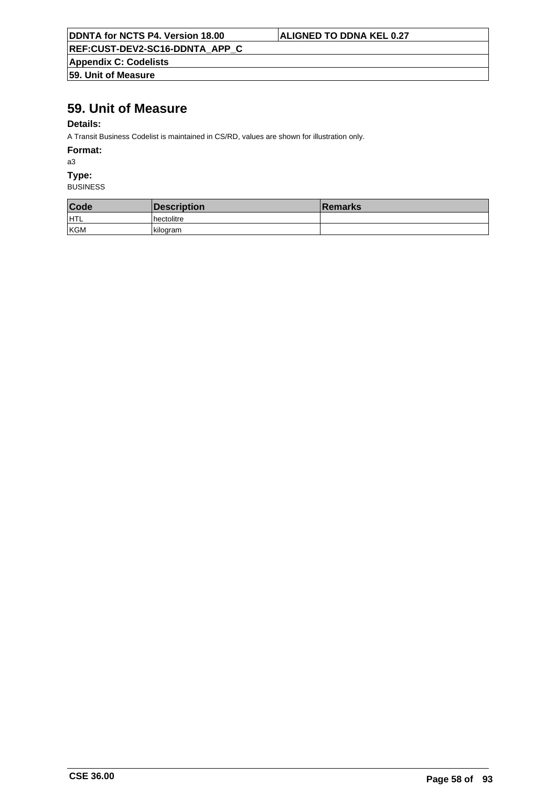| <b>DDNTA for NCTS P4. Version 18.00</b> |  |  |
|-----------------------------------------|--|--|
|                                         |  |  |

## **ALIGNED TO DDNA KEL 0.27**

**REF:CUST-DEV2-SC16-DDNTA\_APP\_C**

**Appendix C: Codelists 59. Unit of Measure**

# **59. Unit of Measure**

## **Details:**

A Transit Business Codelist is maintained in CS/RD, values are shown for illustration only.

**Format:**

a3

**Type:**

| Code | Description | <b>∣Remarks</b> |
|------|-------------|-----------------|
| HTL  | hectolitre  |                 |
| KGM  | l kiloaram  |                 |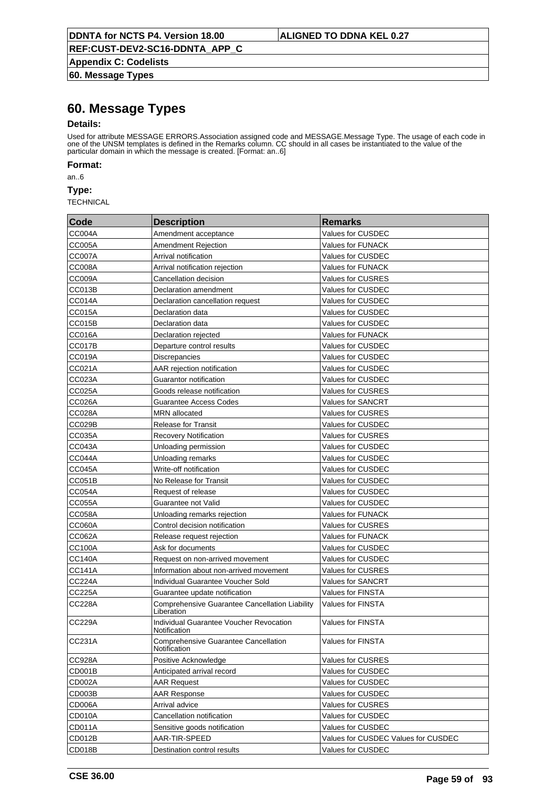**Appendix C: Codelists 60. Message Types**

# **60. Message Types**

### **Details:**

Used for attribute MESSAGE ERRORS.Association assigned code and MESSAGE.Message Type. The usage of each code in one of the UNSM templates is defined in the Remarks column. CC should in all cases be instantiated to the value of the particular domain in which the message is created. [Format: an..6]

**Format:**

an..6

**Type:**

| Code          | <b>Description</b>                                           | <b>Remarks</b>                      |
|---------------|--------------------------------------------------------------|-------------------------------------|
| <b>CC004A</b> | Amendment acceptance                                         | Values for CUSDEC                   |
| CC005A        | <b>Amendment Rejection</b>                                   | Values for FUNACK                   |
| CC007A        | Arrival notification                                         | <b>Values for CUSDEC</b>            |
| <b>CC008A</b> | Arrival notification rejection                               | <b>Values for FUNACK</b>            |
| CC009A        | Cancellation decision                                        | Values for CUSRES                   |
| CC013B        | Declaration amendment                                        | <b>Values for CUSDEC</b>            |
| <b>CC014A</b> | Declaration cancellation request                             | <b>Values for CUSDEC</b>            |
| CC015A        | Declaration data                                             | <b>Values for CUSDEC</b>            |
| CC015B        | Declaration data                                             | <b>Values for CUSDEC</b>            |
| <b>CC016A</b> | Declaration rejected                                         | <b>Values for FUNACK</b>            |
| CC017B        | Departure control results                                    | <b>Values for CUSDEC</b>            |
| CC019A        | Discrepancies                                                | <b>Values for CUSDEC</b>            |
| CC021A        | AAR rejection notification                                   | <b>Values for CUSDEC</b>            |
| CC023A        | Guarantor notification                                       | <b>Values for CUSDEC</b>            |
| CC025A        | Goods release notification                                   | <b>Values for CUSRES</b>            |
| <b>CC026A</b> | <b>Guarantee Access Codes</b>                                | <b>Values for SANCRT</b>            |
| CC028A        | <b>MRN</b> allocated                                         | <b>Values for CUSRES</b>            |
| <b>CC029B</b> | <b>Release for Transit</b>                                   | <b>Values for CUSDEC</b>            |
| CC035A        | <b>Recovery Notification</b>                                 | <b>Values for CUSRES</b>            |
| CC043A        | Unloading permission                                         | <b>Values for CUSDEC</b>            |
| <b>CC044A</b> | Unloading remarks                                            | <b>Values for CUSDEC</b>            |
| <b>CC045A</b> | Write-off notification                                       | <b>Values for CUSDEC</b>            |
| <b>CC051B</b> | No Release for Transit                                       | <b>Values for CUSDEC</b>            |
| <b>CC054A</b> | Request of release                                           | <b>Values for CUSDEC</b>            |
| <b>CC055A</b> | Guarantee not Valid                                          | <b>Values for CUSDEC</b>            |
| <b>CC058A</b> | Unloading remarks rejection                                  | <b>Values for FUNACK</b>            |
| <b>CC060A</b> | Control decision notification                                | Values for CUSRES                   |
| CC062A        | Release request rejection                                    | Values for FUNACK                   |
| <b>CC100A</b> | Ask for documents                                            | <b>Values for CUSDEC</b>            |
| <b>CC140A</b> | Request on non-arrived movement                              | <b>Values for CUSDEC</b>            |
| <b>CC141A</b> | Information about non-arrived movement                       | <b>Values for CUSRES</b>            |
| <b>CC224A</b> | Individual Guarantee Voucher Sold                            | <b>Values for SANCRT</b>            |
| <b>CC225A</b> | Guarantee update notification                                | <b>Values for FINSTA</b>            |
| <b>CC228A</b> | Comprehensive Guarantee Cancellation Liability<br>Liberation | <b>Values for FINSTA</b>            |
| <b>CC229A</b> | Individual Guarantee Voucher Revocation<br>Notification      | <b>Values for FINSTA</b>            |
| CC231A        | <b>Comprehensive Guarantee Cancellation</b><br>Notification  | <b>Values for FINSTA</b>            |
| CC928A        | Positive Acknowledge                                         | Values for CUSRES                   |
| CD001B        | Anticipated arrival record                                   | Values for CUSDEC                   |
| CD002A        | <b>AAR Request</b>                                           | Values for CUSDEC                   |
| CD003B        | <b>AAR Response</b>                                          | Values for CUSDEC                   |
| CD006A        | Arrival advice                                               | Values for CUSRES                   |
| CD010A        | Cancellation notification                                    | Values for CUSDEC                   |
| CD011A        | Sensitive goods notification                                 | Values for CUSDEC                   |
| CD012B        | AAR-TIR-SPEED                                                | Values for CUSDEC Values for CUSDEC |
| CD018B        | Destination control results                                  | Values for CUSDEC                   |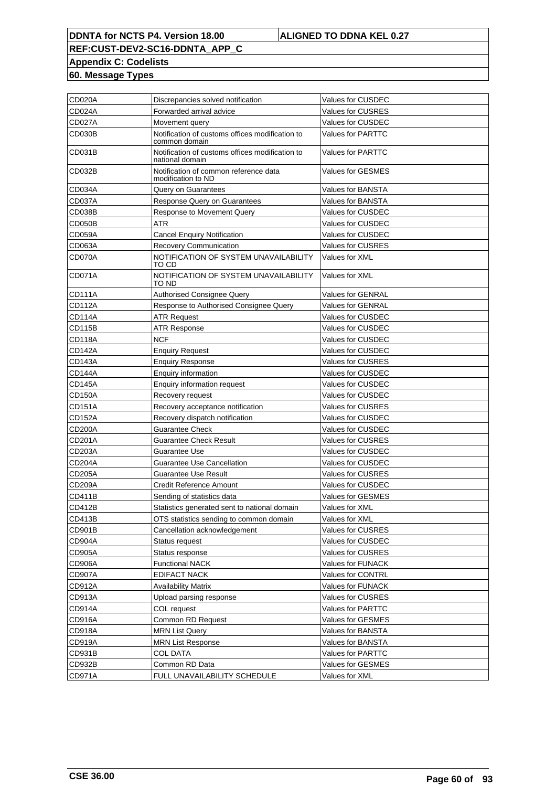# **REF:CUST-DEV2-SC16-DDNTA\_APP\_C Appendix C: Codelists**

**60. Message Types**

| <b>CD020A</b> | Discrepancies solved notification                                  | Values for CUSDEC        |
|---------------|--------------------------------------------------------------------|--------------------------|
| <b>CD024A</b> | Forwarded arrival advice                                           | <b>Values for CUSRES</b> |
| <b>CD027A</b> | Movement query                                                     | <b>Values for CUSDEC</b> |
| <b>CD030B</b> | Notification of customs offices modification to<br>common domain   | <b>Values for PARTTC</b> |
| CD031B        | Notification of customs offices modification to<br>national domain | <b>Values for PARTTC</b> |
| CD032B        | Notification of common reference data<br>modification to ND        | <b>Values for GESMES</b> |
| CD034A        | Query on Guarantees                                                | Values for BANSTA        |
| <b>CD037A</b> | Response Query on Guarantees                                       | <b>Values for BANSTA</b> |
| <b>CD038B</b> | Response to Movement Query                                         | <b>Values for CUSDEC</b> |
| <b>CD050B</b> | <b>ATR</b>                                                         | <b>Values for CUSDEC</b> |
| <b>CD059A</b> | <b>Cancel Enquiry Notification</b>                                 | <b>Values for CUSDEC</b> |
| CD063A        | Recovery Communication                                             | <b>Values for CUSRES</b> |
| CD070A        | NOTIFICATION OF SYSTEM UNAVAILABILITY<br>TO CD                     | Values for XML           |
| CD071A        | NOTIFICATION OF SYSTEM UNAVAILABILITY<br>TO ND                     | Values for XML           |
| <b>CD111A</b> | <b>Authorised Consignee Query</b>                                  | <b>Values for GENRAL</b> |
| CD112A        | Response to Authorised Consignee Query                             | <b>Values for GENRAL</b> |
| <b>CD114A</b> | <b>ATR Request</b>                                                 | <b>Values for CUSDEC</b> |
| CD115B        | <b>ATR Response</b>                                                | <b>Values for CUSDEC</b> |
| <b>CD118A</b> | <b>NCF</b>                                                         | <b>Values for CUSDEC</b> |
| <b>CD142A</b> | <b>Enguiry Request</b>                                             | Values for CUSDEC        |
| CD143A        | <b>Enquiry Response</b>                                            | <b>Values for CUSRES</b> |
| CD144A        | Enquiry information                                                | Values for CUSDEC        |
| CD145A        | <b>Enquiry information request</b>                                 | <b>Values for CUSDEC</b> |
| CD150A        | Recovery request                                                   | <b>Values for CUSDEC</b> |
| CD151A        | Recovery acceptance notification                                   | <b>Values for CUSRES</b> |
| <b>CD152A</b> | Recovery dispatch notification                                     | <b>Values for CUSDEC</b> |
| <b>CD200A</b> | Guarantee Check                                                    | Values for CUSDEC        |
| CD201A        | <b>Guarantee Check Result</b>                                      | Values for CUSRES        |
| CD203A        | Guarantee Use                                                      | <b>Values for CUSDEC</b> |
| <b>CD204A</b> | Guarantee Use Cancellation                                         | Values for CUSDEC        |
| CD205A        | <b>Guarantee Use Result</b>                                        | Values for CUSRES        |
| CD209A        | <b>Credit Reference Amount</b>                                     | <b>Values for CUSDEC</b> |
| CD411B        | Sending of statistics data                                         | <b>Values for GESMES</b> |
| <b>CD412B</b> | Statistics generated sent to national domain                       | Values for XML           |
| <b>CD413B</b> | OTS statistics sending to common domain                            | Values for XML           |
| CD901B        | Cancellation acknowledgement                                       | Values for CUSRES        |
| <b>CD904A</b> | Status request                                                     | Values for CUSDEC        |
| <b>CD905A</b> | Status response                                                    | Values for CUSRES        |
| <b>CD906A</b> | <b>Functional NACK</b>                                             | Values for FUNACK        |
| <b>CD907A</b> | <b>EDIFACT NACK</b>                                                | Values for CONTRL        |
| CD912A        | <b>Availability Matrix</b>                                         | Values for FUNACK        |
| CD913A        | Upload parsing response                                            | Values for CUSRES        |
| CD914A        | COL request                                                        | Values for PARTTC        |
| CD916A        | Common RD Request                                                  | Values for GESMES        |
| <b>CD918A</b> | <b>MRN List Query</b>                                              | Values for BANSTA        |
| CD919A        | <b>MRN List Response</b>                                           | Values for BANSTA        |
| CD931B        | COL DATA                                                           | Values for PARTTC        |
| CD932B        | Common RD Data                                                     | Values for GESMES        |
| CD971A        | FULL UNAVAILABILITY SCHEDULE                                       | Values for XML           |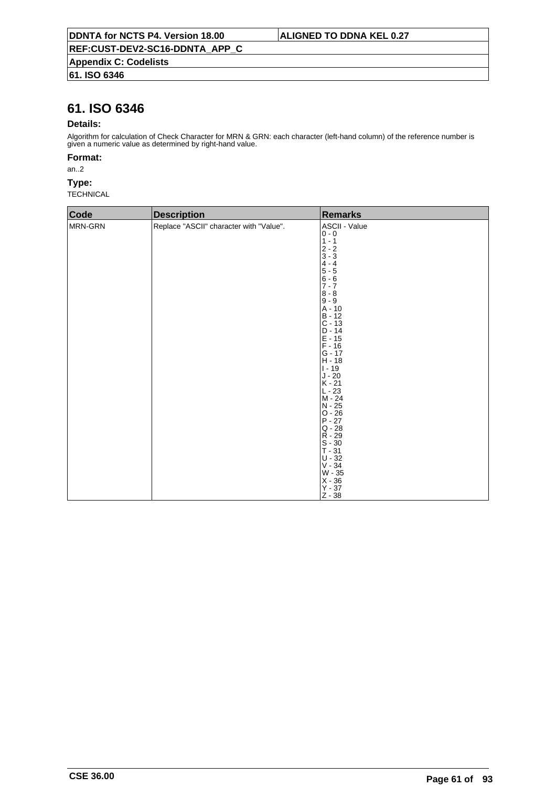# **61. ISO 6346**

# **61. ISO 6346**

### **Details:**

Algorithm for calculation of Check Character for MRN & GRN: each character (left-hand column) of the reference number is given a numeric value as determined by right-hand value.

### **Format:**

an..2

### **Type:**

| Code    | <b>Description</b>                      | <b>Remarks</b>                                                                                                                                                                                                                                                                                                                                                                                                                                    |
|---------|-----------------------------------------|---------------------------------------------------------------------------------------------------------------------------------------------------------------------------------------------------------------------------------------------------------------------------------------------------------------------------------------------------------------------------------------------------------------------------------------------------|
| MRN-GRN | Replace "ASCII" character with "Value". | ASCII - Value<br>$0 - 0$<br>$1 - 1$<br>$2 - 2$<br>$3 - 3$<br>$4 - 4$<br>$5 - 5$<br>$6 - 6$<br>$7 - 7$<br>$8 - 8$<br>$9 - 9$<br>A - 10<br>$B - 12$<br>$C - 13$<br>$D - 14$<br>$E - 15$<br>$F - 16$<br>$G - 17$<br>$H - 18$<br>$1 - 19$<br>$\sf J$ - $20$<br>$K - 21$<br>$L - 23$<br>M - 24<br>N - 25<br>$O - 26$<br>$P - 27$<br>$Q - 28$<br>$R - 29$<br>$S - 30$<br>$T - 31$<br>$U - 32$<br>$V - 34$<br>W - 35<br>$X - 36$<br>$Y - 37$<br>$Z - 38$ |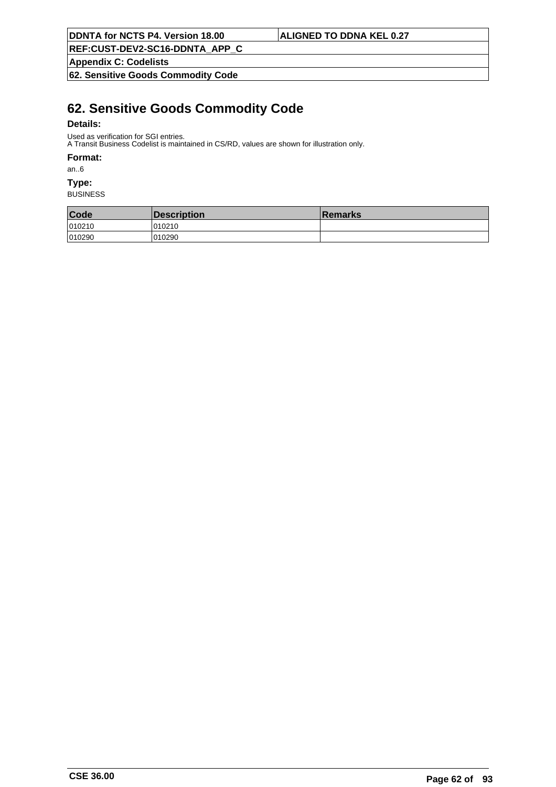**REF:CUST-DEV2-SC16-DDNTA\_APP\_C**

**Appendix C: Codelists**

**62. Sensitive Goods Commodity Code**

# **62. Sensitive Goods Commodity Code**

### **Details:**

Used as verification for SGI entries.

A Transit Business Codelist is maintained in CS/RD, values are shown for illustration only.

### **Format:**

an..6

## **Type:**

| Code   | Description | <b>Remarks</b> |
|--------|-------------|----------------|
| 010210 | 010210      |                |
| 010290 | 010290      |                |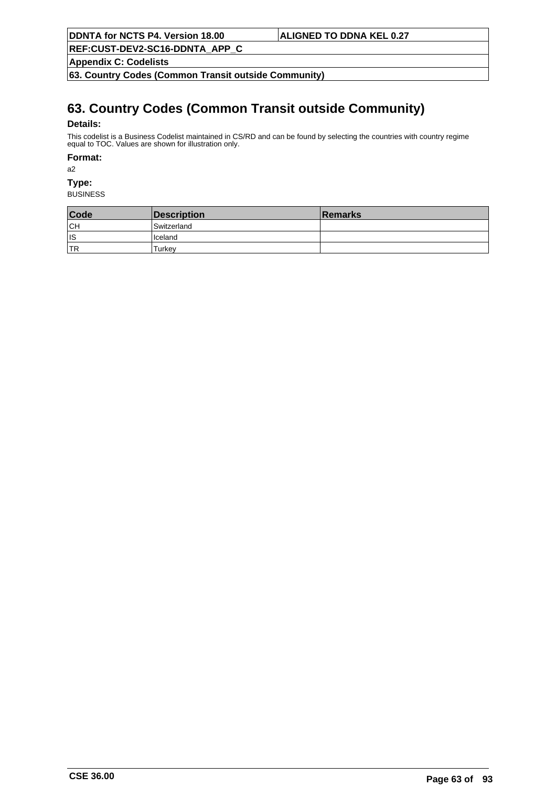**REF:CUST-DEV2-SC16-DDNTA\_APP\_C**

**Appendix C: Codelists**

**63. Country Codes (Common Transit outside Community)**

# **63. Country Codes (Common Transit outside Community)**

### **Details:**

This codelist is a Business Codelist maintained in CS/RD and can be found by selecting the countries with country regime equal to TOC. Values are shown for illustration only.

### **Format:**

a2

# **Type:**

| Code       | Description     | <b>Remarks</b> |
|------------|-----------------|----------------|
| CH         | Switzerland     |                |
| lıs        | <b>I</b> celand |                |
| <b>ITR</b> | Turkev          |                |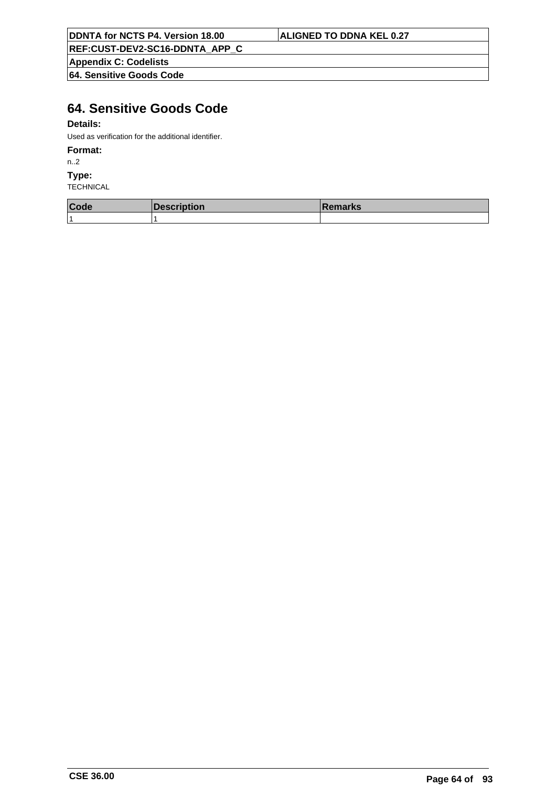**REF:CUST-DEV2-SC16-DDNTA\_APP\_C**

**Appendix C: Codelists**

**64. Sensitive Goods Code**

# **64. Sensitive Goods Code**

## **Details:**

Used as verification for the additional identifier.

## **Format:**

n..2

**Type:**

| Code | $10 - 20$<br>escription | ∣Remarks |
|------|-------------------------|----------|
| ∣ 4  |                         |          |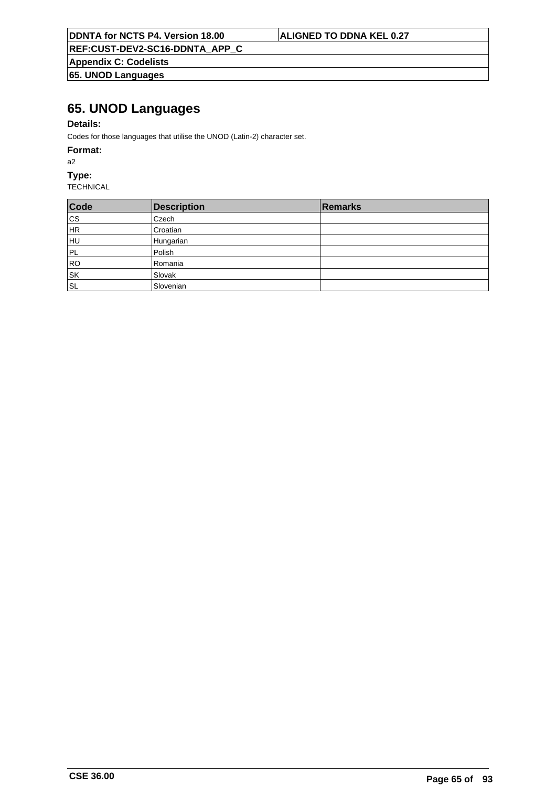**REF:CUST-DEV2-SC16-DDNTA\_APP\_C**

**Appendix C: Codelists 65. UNOD Languages**

# **65. UNOD Languages**

## **Details:**

Codes for those languages that utilise the UNOD (Latin-2) character set.

### **Format:**

a2

## **Type:**

| Code                              | <b>Description</b> | Remarks |
|-----------------------------------|--------------------|---------|
| cs                                | Czech              |         |
| HR                                | Croatian           |         |
| HU                                | Hungarian          |         |
| PL                                | Polish             |         |
| RO                                | Romania            |         |
| $\overline{\mathsf{s}\mathsf{k}}$ | Slovak             |         |
| ∣s∟                               | Slovenian          |         |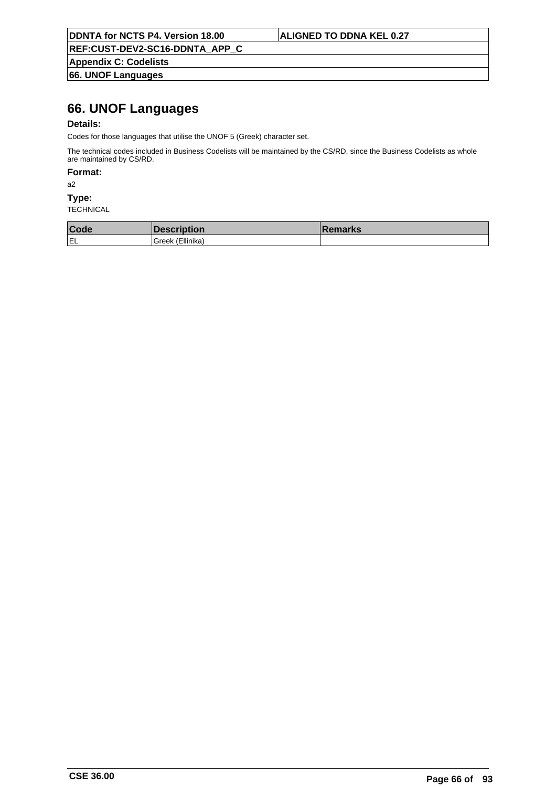**REF:CUST-DEV2-SC16-DDNTA\_APP\_C**

**Appendix C: Codelists 66. UNOF Languages**

# **66. UNOF Languages**

## **Details:**

Codes for those languages that utilise the UNOF 5 (Greek) character set.

The technical codes included in Business Codelists will be maintained by the CS/RD, since the Business Codelists as whole are maintained by CS/RD.

## **Format:**

a2

### **Type:**

| Code |                   | emarks |
|------|-------------------|--------|
| IEL  | Ellinika<br>ireek |        |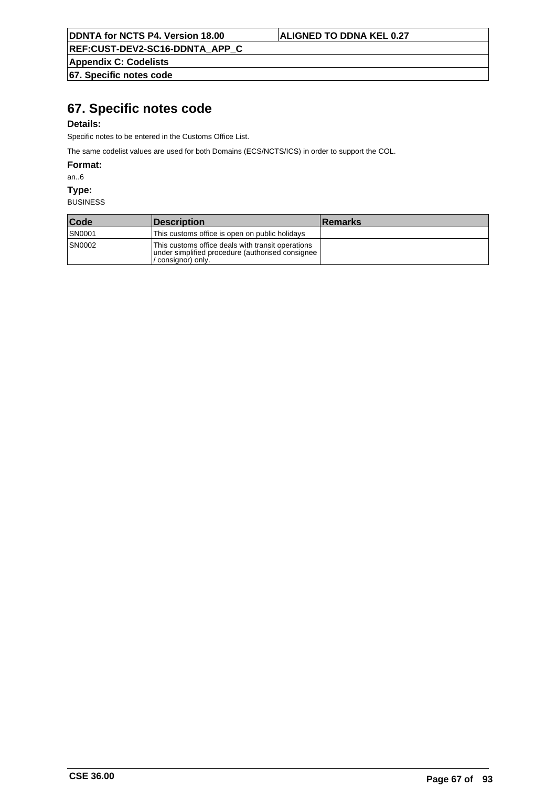**REF:CUST-DEV2-SC16-DDNTA\_APP\_C**

**Appendix C: Codelists 67. Specific notes code**

# **67. Specific notes code**

## **Details:**

Specific notes to be entered in the Customs Office List.

The same codelist values are used for both Domains (ECS/NCTS/ICS) in order to support the COL.

**Format:**

an..6

**Type:**

| Code          | <b>Description</b>                                                                                                         | <b>Remarks</b> |
|---------------|----------------------------------------------------------------------------------------------------------------------------|----------------|
| <b>SN0001</b> | This customs office is open on public holidays                                                                             |                |
| <b>SN0002</b> | This customs office deals with transit operations<br>under simplified procedure (authorised consignee)<br>consianor) onlv. |                |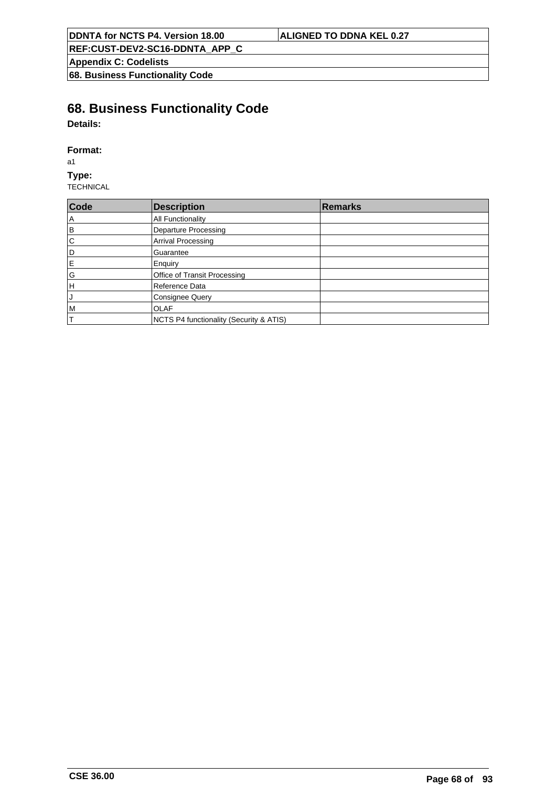**Appendix C: Codelists**

**68. Business Functionality Code**

# **68. Business Functionality Code**

**Details:**

## **Format:**

a1

**Type:** TECHNICAL

| Code          | <b>Description</b>                      | <b>Remarks</b> |
|---------------|-----------------------------------------|----------------|
| A             | All Functionality                       |                |
| B             | Departure Processing                    |                |
| $\mathsf{C}$  | <b>Arrival Processing</b>               |                |
| D             | Guarantee                               |                |
| E             | Enquiry                                 |                |
| ${\mathsf G}$ | Office of Transit Processing            |                |
| H             | Reference Data                          |                |
| J             | <b>Consignee Query</b>                  |                |
| M             | <b>OLAF</b>                             |                |
|               | NCTS P4 functionality (Security & ATIS) |                |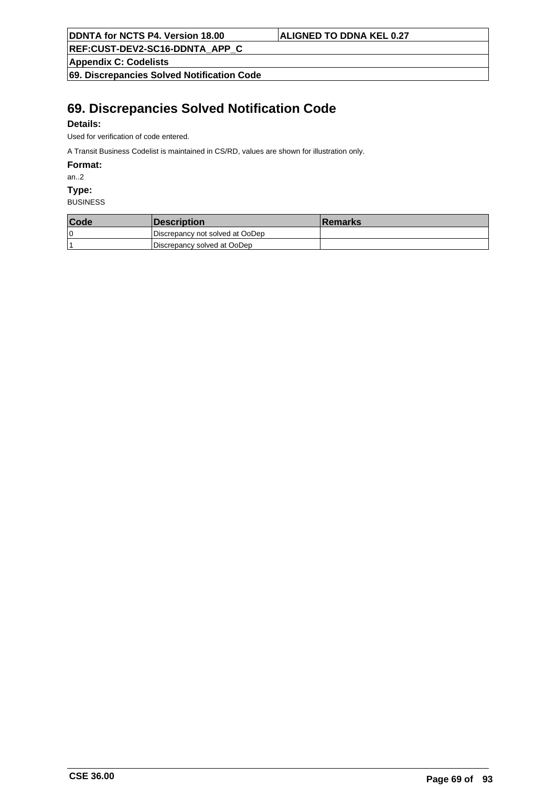**REF:CUST-DEV2-SC16-DDNTA\_APP\_C**

**Appendix C: Codelists**

**69. Discrepancies Solved Notification Code**

# **69. Discrepancies Solved Notification Code**

## **Details:**

Used for verification of code entered.

A Transit Business Codelist is maintained in CS/RD, values are shown for illustration only.

**Format:**

an..2

**Type:**

| Code | <i><b>Description</b></i>       | <b>Remarks</b> |
|------|---------------------------------|----------------|
| 0 ا  | Discrepancy not solved at OoDep |                |
|      | Discrepancy solved at OoDep     |                |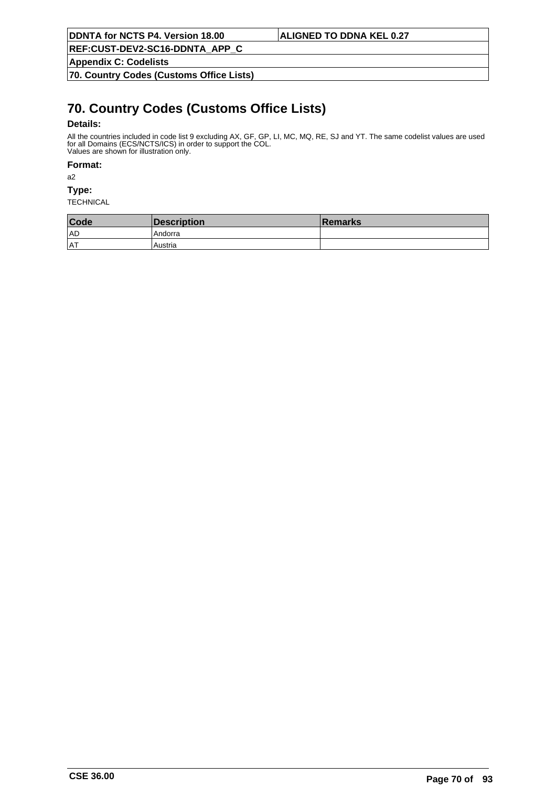**Appendix C: Codelists**

**70. Country Codes (Customs Office Lists)**

# **70. Country Codes (Customs Office Lists)**

## **Details:**

All the countries included in code list 9 excluding AX, GF, GP, LI, MC, MQ, RE, SJ and YT. The same codelist values are used for all Domains (ECS/NCTS/ICS) in order to support the COL. Values are shown for illustration only.

### **Format:**

a2

**Type:**

| Code | Description | ∣Remarks |
|------|-------------|----------|
| AD   | Andorra     |          |
| lat  | Austria     |          |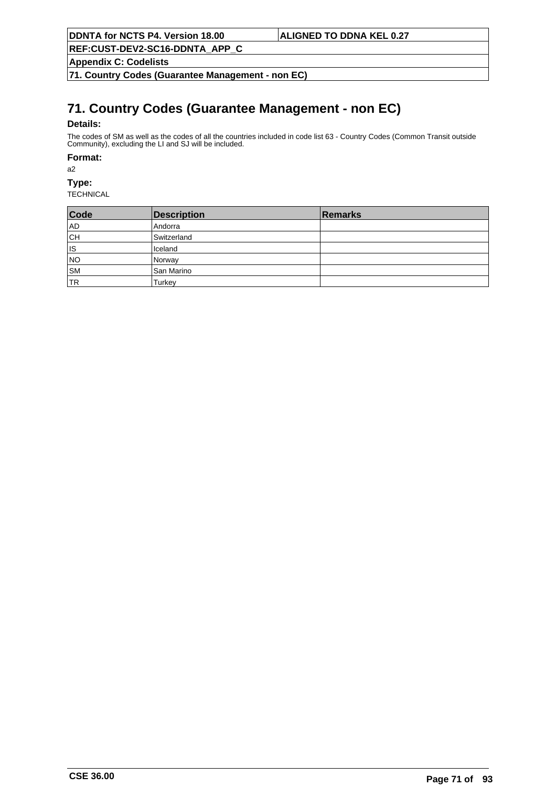**REF:CUST-DEV2-SC16-DDNTA\_APP\_C**

**Appendix C: Codelists**

**71. Country Codes (Guarantee Management - non EC)**

# **71. Country Codes (Guarantee Management - non EC)**

## **Details:**

The codes of SM as well as the codes of all the countries included in code list 63 - Country Codes (Common Transit outside Community), excluding the LI and SJ will be included.

### **Format:**

a2

**Type:**

| Code      | <b>Description</b> | Remarks |
|-----------|--------------------|---------|
| AD        | l Andorra          |         |
| ∣сн       | Switzerland        |         |
| ∣ıs       | Iceland            |         |
| NO        | Norway             |         |
| SM        | San Marino         |         |
| <b>TR</b> | Turkey             |         |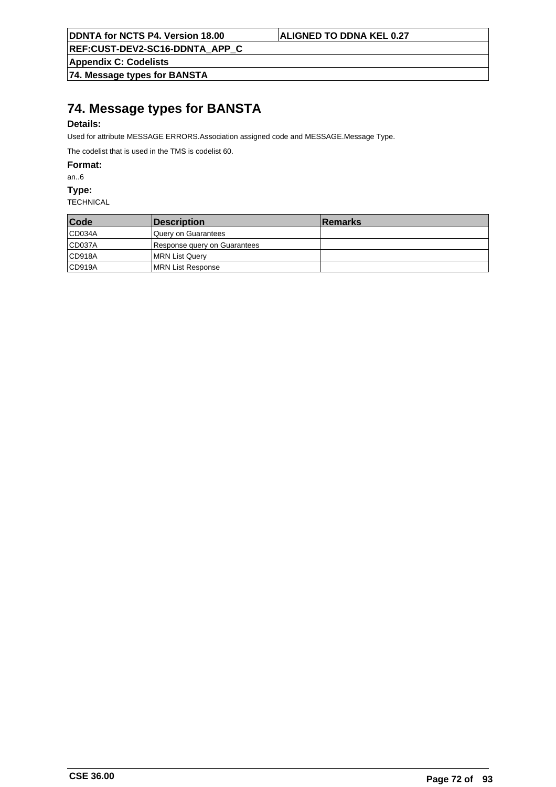**REF:CUST-DEV2-SC16-DDNTA\_APP\_C**

**Appendix C: Codelists**

**74. Message types for BANSTA**

# **74. Message types for BANSTA**

## **Details:**

Used for attribute MESSAGE ERRORS.Association assigned code and MESSAGE.Message Type.

The codelist that is used in the TMS is codelist 60.

**Format:**

an..6

**Type:**

| Code   | <b>Description</b>           | <b>Remarks</b> |
|--------|------------------------------|----------------|
| CD034A | lQuerv on Guarantees         |                |
| CD037A | Response query on Guarantees |                |
| CD918A | MRN List Query               |                |
| CD919A | <b>IMRN List Response</b>    |                |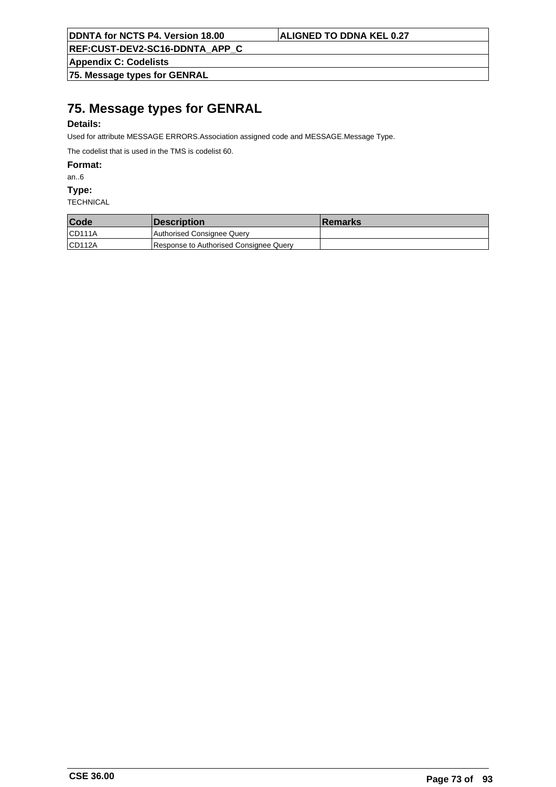**REF:CUST-DEV2-SC16-DDNTA\_APP\_C**

**Appendix C: Codelists**

**75. Message types for GENRAL**

# **75. Message types for GENRAL**

## **Details:**

Used for attribute MESSAGE ERRORS.Association assigned code and MESSAGE.Message Type.

The codelist that is used in the TMS is codelist 60.

**Format:**

an..6

**Type:**

| Code   | <i><b>Description</b></i>              | <b>Remarks</b> |
|--------|----------------------------------------|----------------|
| CD111A | Authorised Consignee Query             |                |
| CD112A | Response to Authorised Consignee Query |                |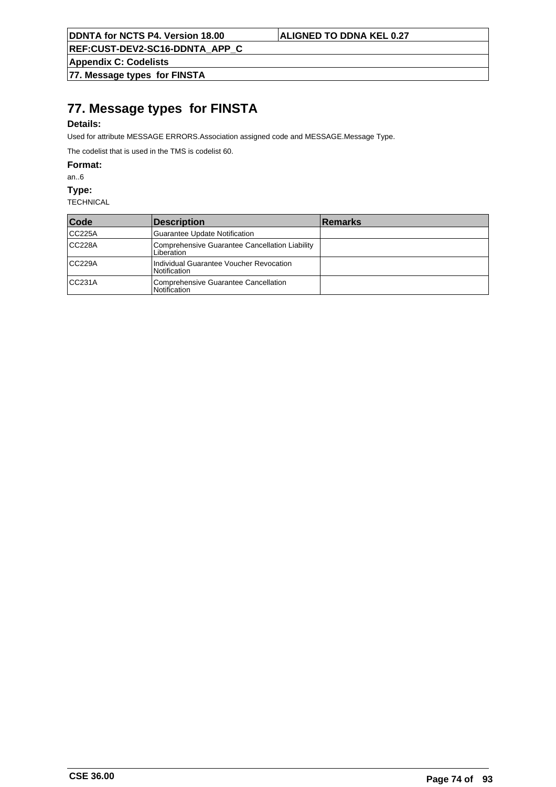**REF:CUST-DEV2-SC16-DDNTA\_APP\_C**

**Appendix C: Codelists**

**77. Message types for FINSTA**

# **77. Message types for FINSTA**

## **Details:**

Used for attribute MESSAGE ERRORS.Association assigned code and MESSAGE.Message Type.

The codelist that is used in the TMS is codelist 60.

**Format:**

an..6

**Type:**

| Code   | Description                                                    | <b>Remarks</b> |
|--------|----------------------------------------------------------------|----------------|
| CC225A | Guarantee Update Notification                                  |                |
| CC228A | Comprehensive Guarantee Cancellation Liability<br>Liberation   |                |
| CC229A | Individual Guarantee Voucher Revocation<br><b>Notification</b> |                |
| CC231A | Comprehensive Guarantee Cancellation<br>l Notification         |                |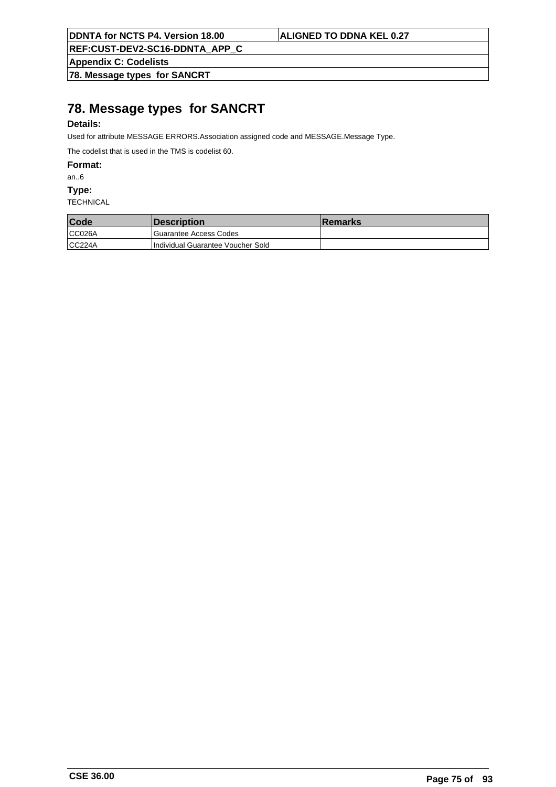**REF:CUST-DEV2-SC16-DDNTA\_APP\_C**

**Appendix C: Codelists**

**78. Message types for SANCRT**

# **78. Message types for SANCRT**

## **Details:**

Used for attribute MESSAGE ERRORS.Association assigned code and MESSAGE.Message Type.

The codelist that is used in the TMS is codelist 60.

**Format:**

an..6

**Type:**

| Code   | <b>Description</b>                | <b>Remarks</b> |
|--------|-----------------------------------|----------------|
| CC026A | Guarantee Access Codes            |                |
| CC224A | Individual Guarantee Voucher Sold |                |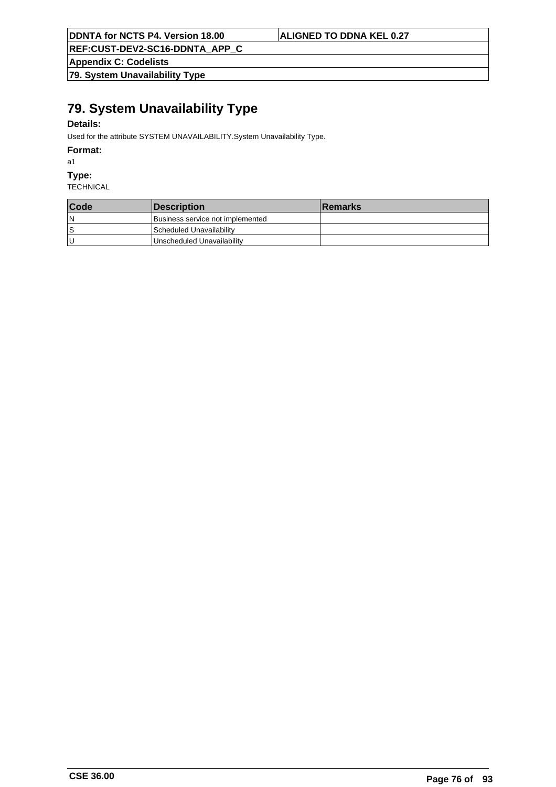**REF:CUST-DEV2-SC16-DDNTA\_APP\_C**

**Appendix C: Codelists**

**79. System Unavailability Type**

# **79. System Unavailability Type**

## **Details:**

Used for the attribute SYSTEM UNAVAILABILITY.System Unavailability Type.

### **Format:**

a1

#### **Type:**

| Code | Description                      | <b>Remarks</b> |
|------|----------------------------------|----------------|
| ١N   | Business service not implemented |                |
| ١s   | Scheduled Unavailability         |                |
| ΙU   | Unscheduled Unavailability       |                |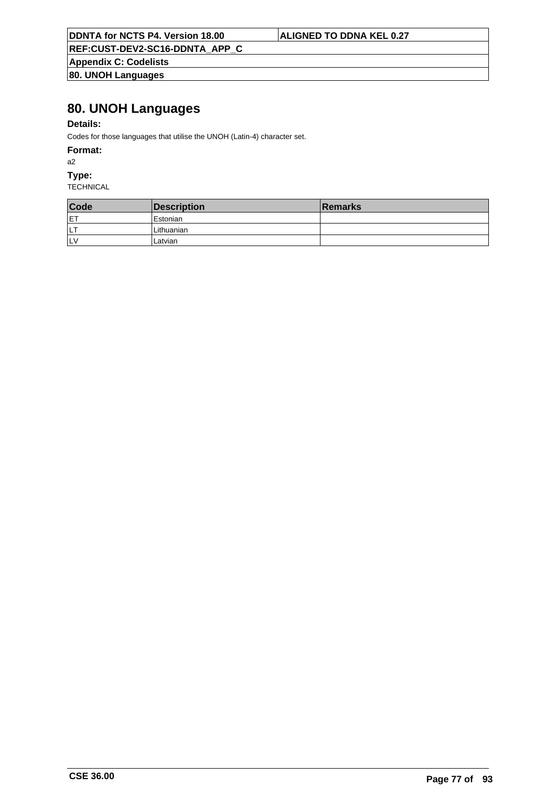**REF:CUST-DEV2-SC16-DDNTA\_APP\_C**

**Appendix C: Codelists 80. UNOH Languages**

# **80. UNOH Languages**

## **Details:**

Codes for those languages that utilise the UNOH (Latin-4) character set.

### **Format:**

a2

## **Type:**

| Code       | Description           | <b>Remarks</b> |
|------------|-----------------------|----------------|
| <b>IET</b> | <sup>I</sup> Estonian |                |
| דוו        | Lithuanian            |                |
| <b>ILV</b> | Latvian               |                |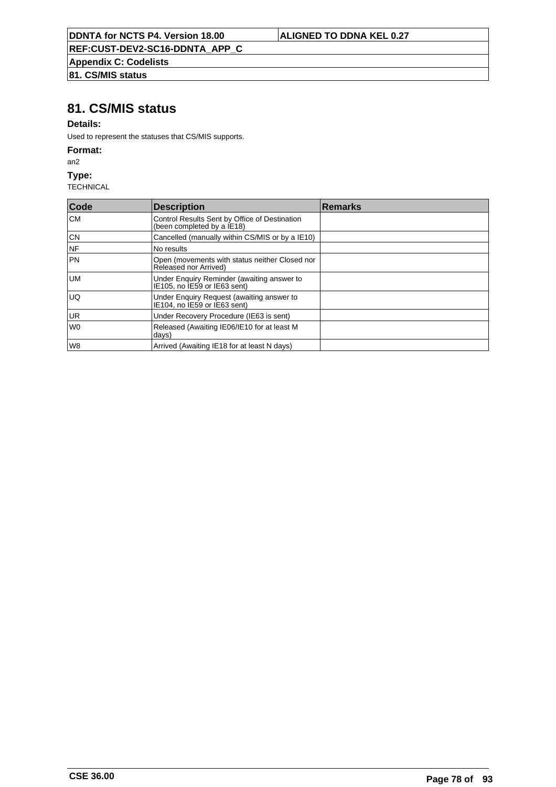**REF:CUST-DEV2-SC16-DDNTA\_APP\_C**

**Appendix C: Codelists**

# **81. CS/MIS status**

## **81. CS/MIS status**

## **Details:**

Used to represent the statuses that CS/MIS supports.

#### **Format:**

an2

### **Type:**

| Code           | Description                                                                 | <b>Remarks</b> |
|----------------|-----------------------------------------------------------------------------|----------------|
| lCM.           | Control Results Sent by Office of Destination<br>(been completed by a IE18) |                |
| CN             | Cancelled (manually within CS/MIS or by a IE10)                             |                |
| INF            | No results                                                                  |                |
| I PN           | Open (movements with status neither Closed nor<br>Released nor Arrived)     |                |
| lum            | Under Enguiry Reminder (awaiting answer to<br>IE105, no IE59 or IE63 sent)  |                |
| IUQ.           | Under Enguiry Request (awaiting answer to<br>IE104, no IE59 or IE63 sent)   |                |
| UR.            | Under Recovery Procedure (IE63 is sent)                                     |                |
| W <sub>0</sub> | Released (Awaiting IE06/IE10 for at least M<br>days)                        |                |
| l W8           | Arrived (Awaiting IE18 for at least N days)                                 |                |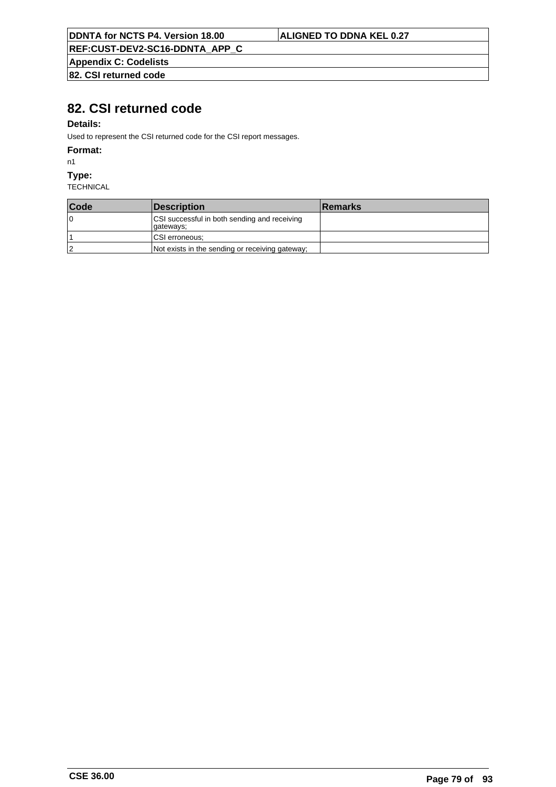**REF:CUST-DEV2-SC16-DDNTA\_APP\_C**

**Appendix C: Codelists 82. CSI returned code**

# **82. CSI returned code**

## **Details:**

Used to represent the CSI returned code for the CSI report messages.

#### **Format:**

n1

#### **Type:**

| Code | Description                                                | <b>Remarks</b> |
|------|------------------------------------------------------------|----------------|
| ١O   | CSI successful in both sending and receiving<br> qateways; |                |
|      | CSI erroneous;                                             |                |
| 12   | Not exists in the sending or receiving gateway;            |                |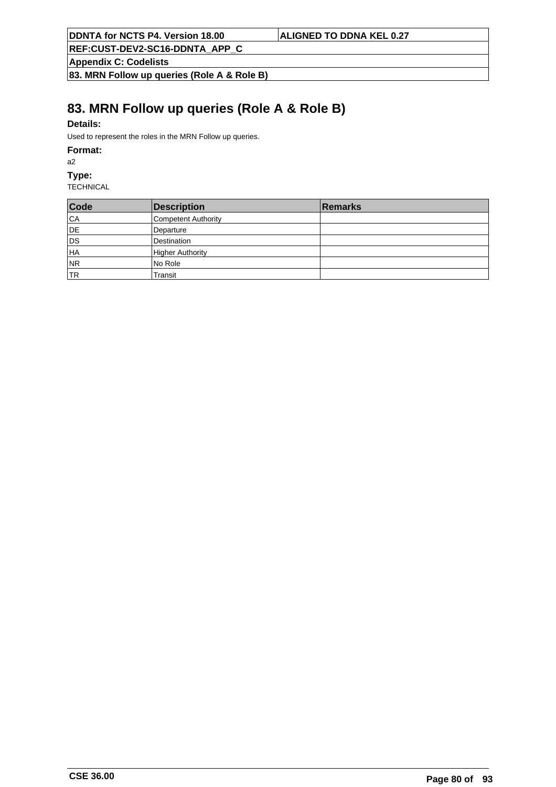**REF:CUST-DEV2-SC16-DDNTA\_APP\_C**

**Appendix C: Codelists**

**83. MRN Follow up queries (Role A & Role B)**

# **83. MRN Follow up queries (Role A & Role B)**

## **Details:**

Used to represent the roles in the MRN Follow up queries.

#### **Format:**

a2

#### **Type:**

| Code      | Description             | <b>Remarks</b> |
|-----------|-------------------------|----------------|
| CA        | Competent Authority     |                |
| DE        | Departure               |                |
| DS        | Destination             |                |
| HA        | <b>Higher Authority</b> |                |
| NR        | No Role                 |                |
| <b>TR</b> | Transit                 |                |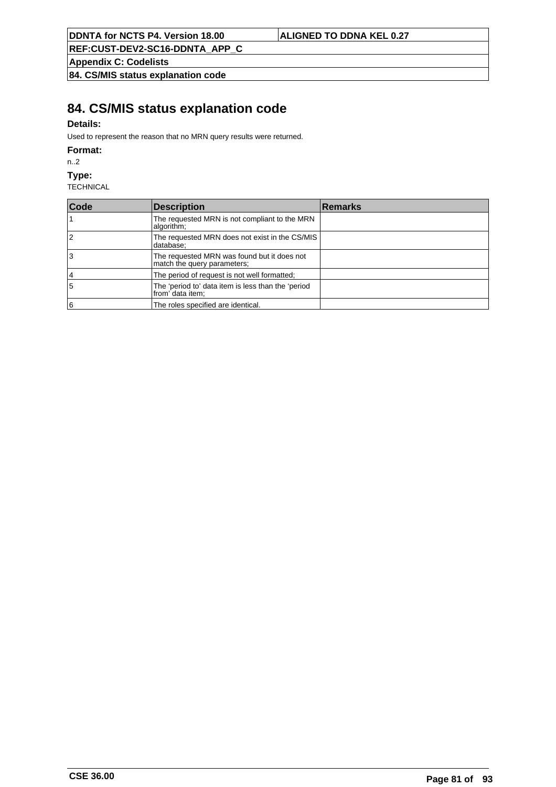**REF:CUST-DEV2-SC16-DDNTA\_APP\_C**

**Appendix C: Codelists**

**84. CS/MIS status explanation code**

# **84. CS/MIS status explanation code**

## **Details:**

Used to represent the reason that no MRN query results were returned.

### **Format:**

n..2

#### **Type:**

| Code | Description                                                                | <b>Remarks</b> |
|------|----------------------------------------------------------------------------|----------------|
|      | The requested MRN is not compliant to the MRN<br>algorithm;                |                |
| 12   | The requested MRN does not exist in the CS/MIS<br>database;                |                |
| lЗ   | The requested MRN was found but it does not<br>match the query parameters; |                |
| 14   | The period of request is not well formatted;                               |                |
| 5    | The 'period to' data item is less than the 'period<br>from' data item;     |                |
| 6    | The roles specified are identical.                                         |                |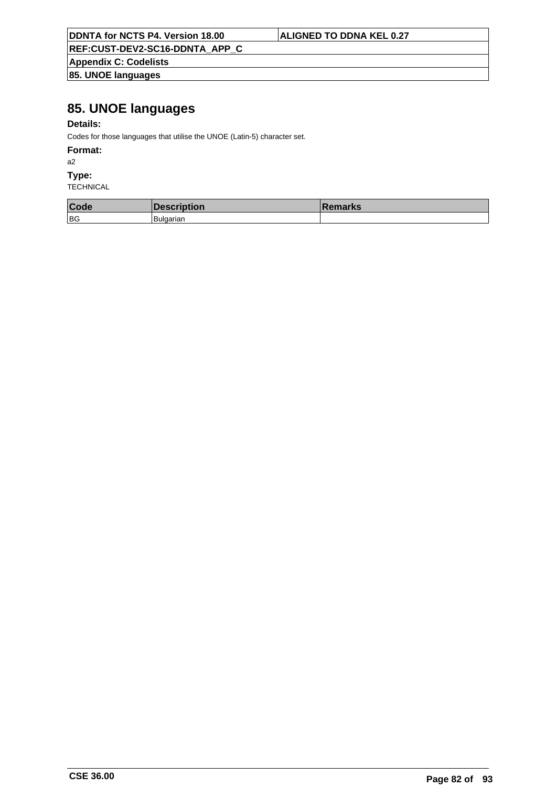**REF:CUST-DEV2-SC16-DDNTA\_APP\_C**

**Appendix C: Codelists 85. UNOE languages**

# **85. UNOE languages**

## **Details:**

Codes for those languages that utilise the UNOE (Latin-5) character set.

### **Format:**

a2

### **Type:**

| Code | <b>Description</b> | <b>IRemarks</b> |
|------|--------------------|-----------------|
| BG   | Bulgarian          |                 |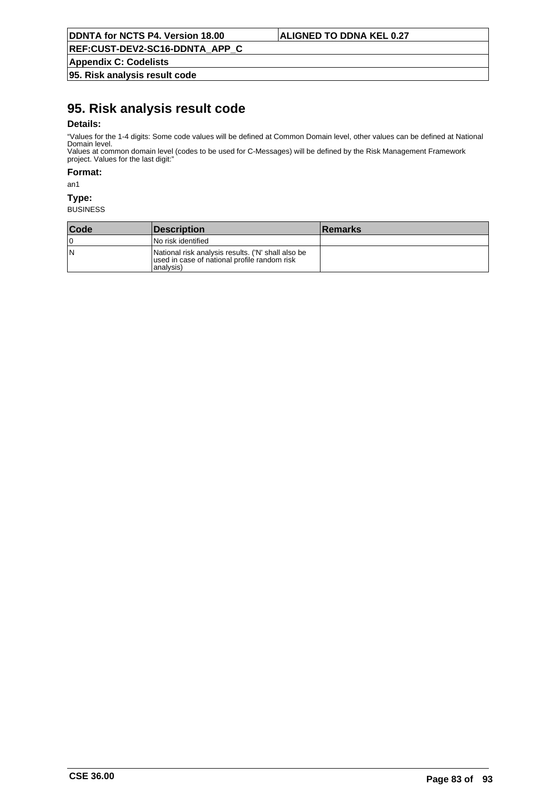**REF:CUST-DEV2-SC16-DDNTA\_APP\_C**

**Appendix C: Codelists**

**95. Risk analysis result code**

# **95. Risk analysis result code**

## **Details:**

"Values for the 1-4 digits: Some code values will be defined at Common Domain level, other values can be defined at National Domain level. Values at common domain level (codes to be used for C-Messages) will be defined by the Risk Management Framework

project. Values for the last digit:"

**Format:**

an1

#### **Type:**

| <b>Code</b> | <b>Description</b>                                                                                               | <b>Remarks</b> |
|-------------|------------------------------------------------------------------------------------------------------------------|----------------|
| ١O          | l No risk identified                                                                                             |                |
| ١N          | National risk analysis results. ('N' shall also be<br>used in case of national profile random risk<br>lanalvsis) |                |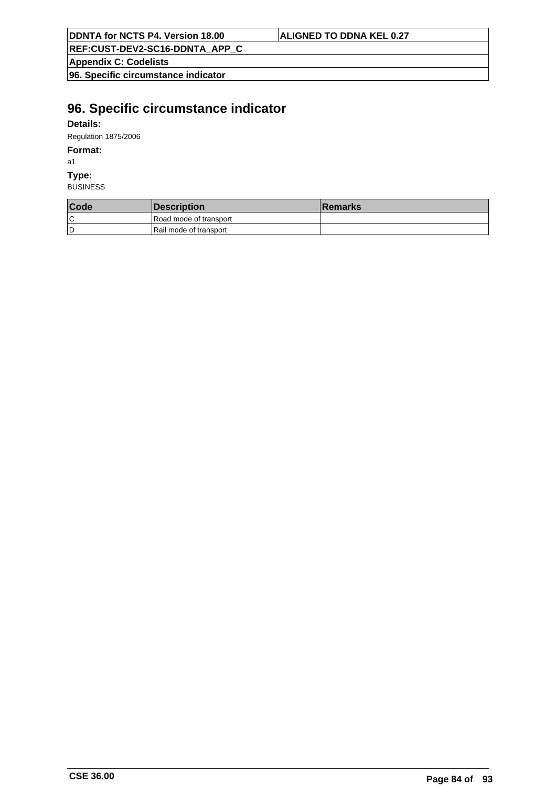**REF:CUST-DEV2-SC16-DDNTA\_APP\_C**

**Appendix C: Codelists**

**96. Specific circumstance indicator**

# **96. Specific circumstance indicator**

## **Details:**

Regulation 1875/2006

## **Format:**

a1

## **Type:**

| Code | <i><b>Description</b></i> | <b>Remarks</b> |
|------|---------------------------|----------------|
| ١C   | Road mode of transport    |                |
| ۱D   | Rail mode of transport    |                |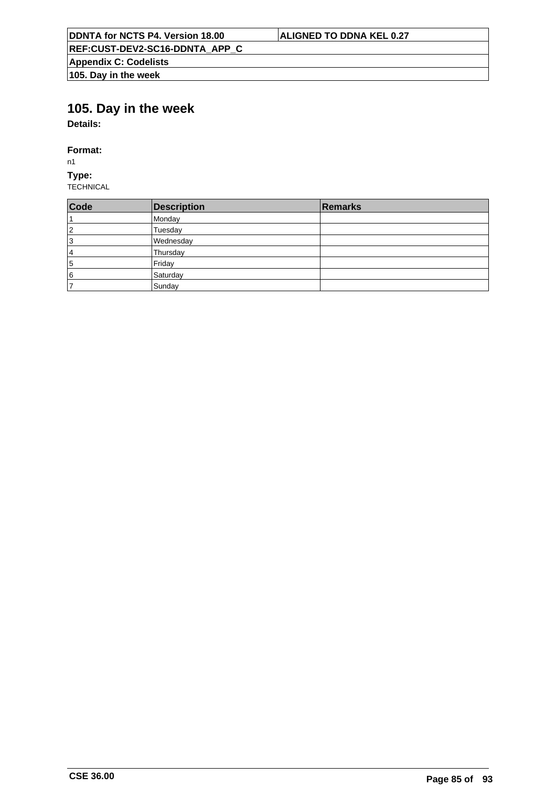# **105. Day in the week**

**Details:**

## **Format:**

n1

**Type:** TECHNICAL

| Code           | <b>Description</b> | Remarks |
|----------------|--------------------|---------|
| ⊧1             | Monday             |         |
| 2              | Tuesday            |         |
| 3              | Wednesday          |         |
| 4              | Thursday           |         |
| 5              | Friday             |         |
| 6              | Saturday           |         |
| $\overline{7}$ | Sunday             |         |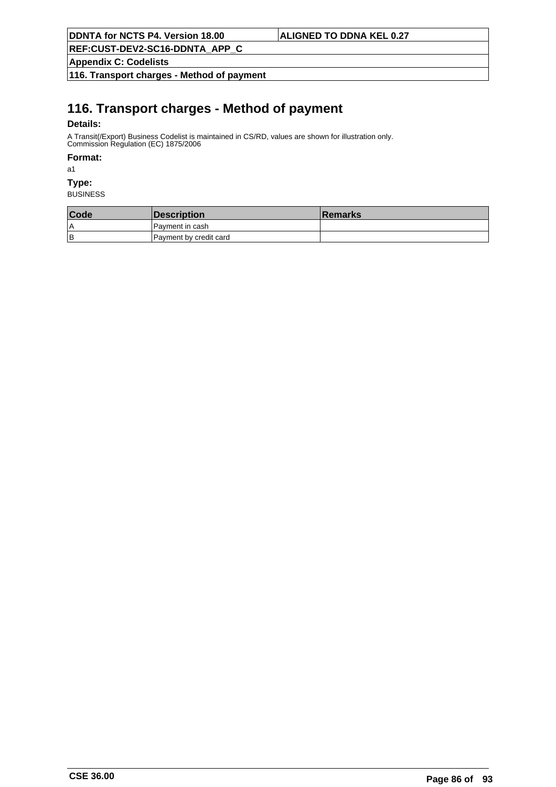**REF:CUST-DEV2-SC16-DDNTA\_APP\_C**

**Appendix C: Codelists**

**116. Transport charges - Method of payment**

# **116. Transport charges - Method of payment**

## **Details:**

A Transit(/Export) Business Codelist is maintained in CS/RD, values are shown for illustration only. Commission Regulation (EC) 1875/2006

### **Format:**

a1

## **Type:**

| Code | Description            | <b>Remarks</b> |
|------|------------------------|----------------|
| ۱A   | IPavment in cash       |                |
| lв   | Payment by credit card |                |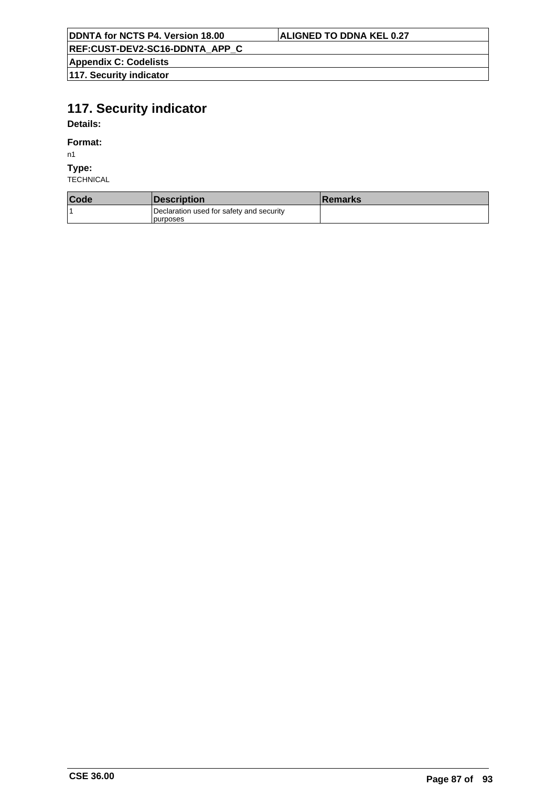**REF:CUST-DEV2-SC16-DDNTA\_APP\_C**

**Appendix C: Codelists 117. Security indicator**

# **117. Security indicator**

**Details:**

**Format:**

n1

**Type:**

| Code | <i><b>Description</b></i>                             | ∣Remarks |
|------|-------------------------------------------------------|----------|
|      | Declaration used for safety and security<br>Ipurposes |          |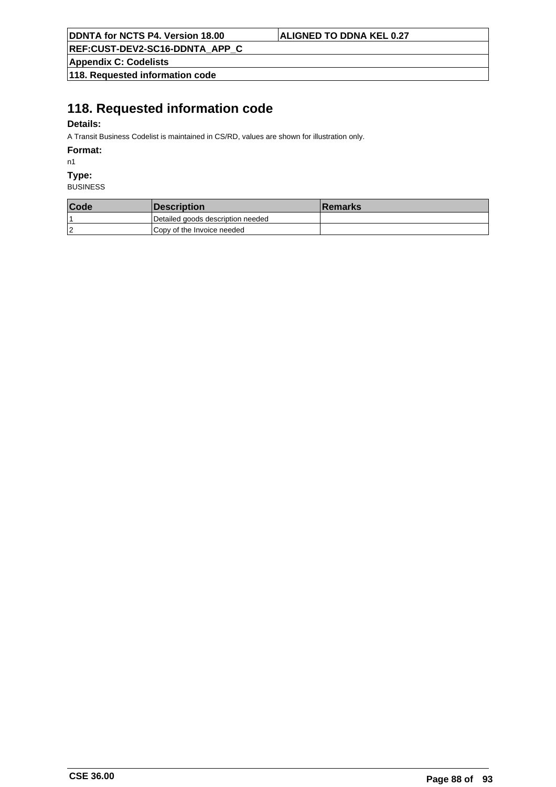**REF:CUST-DEV2-SC16-DDNTA\_APP\_C**

**Appendix C: Codelists**

**118. Requested information code**

# **118. Requested information code**

## **Details:**

A Transit Business Codelist is maintained in CS/RD, values are shown for illustration only.

**Format:**

n1

**Type:**

| Code           | <i><b>Description</b></i>         | <b>Remarks</b> |
|----------------|-----------------------------------|----------------|
|                | Detailed goods description needed |                |
| $\overline{2}$ | Copy of the Invoice needed        |                |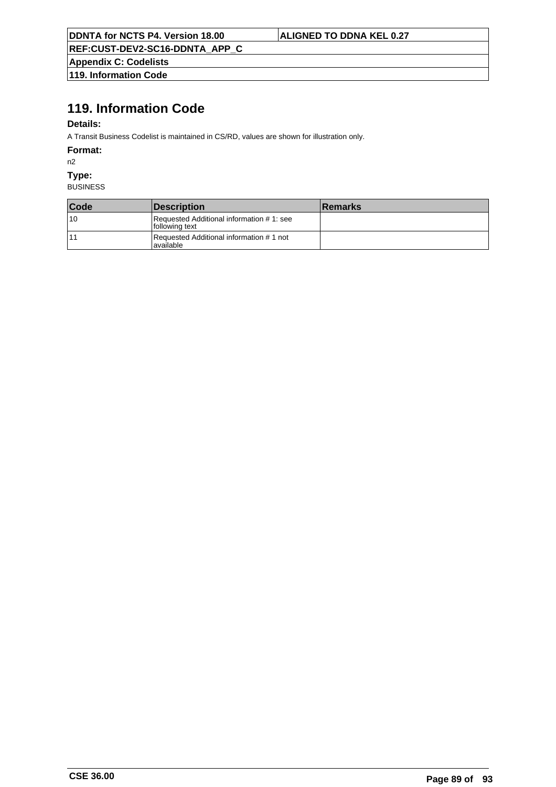**REF:CUST-DEV2-SC16-DDNTA\_APP\_C**

**Appendix C: Codelists 119. Information Code**

# **119. Information Code**

## **Details:**

A Transit Business Codelist is maintained in CS/RD, values are shown for illustration only.

**Format:**

n2

**Type:**

| Code | <i><b>Description</b></i>                                  | <b>Remarks</b> |
|------|------------------------------------------------------------|----------------|
| 10   | Requested Additional information #1: see<br>following text |                |
| 11   | Requested Additional information #1 not<br>lavailable      |                |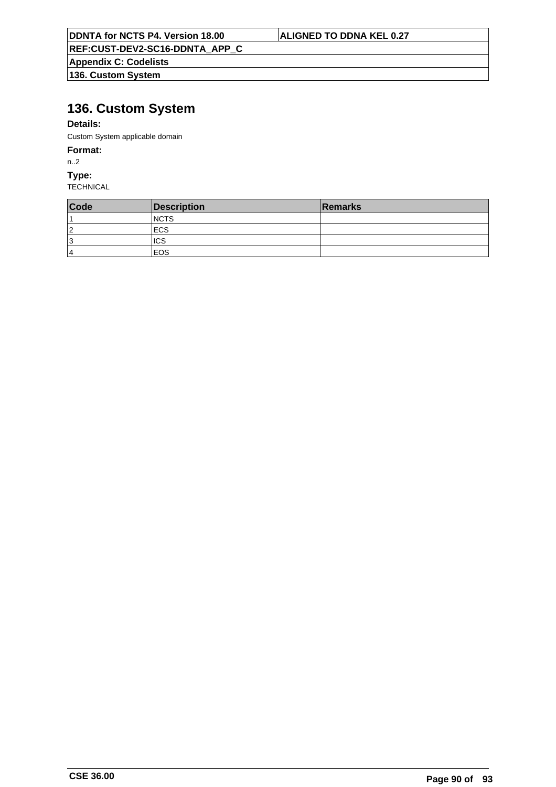| <b>DDNTA for NCTS P4. Version 18.00</b> |  |
|-----------------------------------------|--|
|-----------------------------------------|--|

**REF:CUST-DEV2-SC16-DDNTA\_APP\_C**

**Appendix C: Codelists**

**136. Custom System**

# **136. Custom System**

## **Details:**

Custom System applicable domain

## **Format:**

n..2

**Type:**

**TECHNICAL** 

| Code | Description  | Remarks |
|------|--------------|---------|
|      | <b>INCTS</b> |         |
| 2    | <b>IECS</b>  |         |
| 13   | <b>ICS</b>   |         |
| 4    | lEOS.        |         |

**ALIGNED TO DDNA KEL 0.27**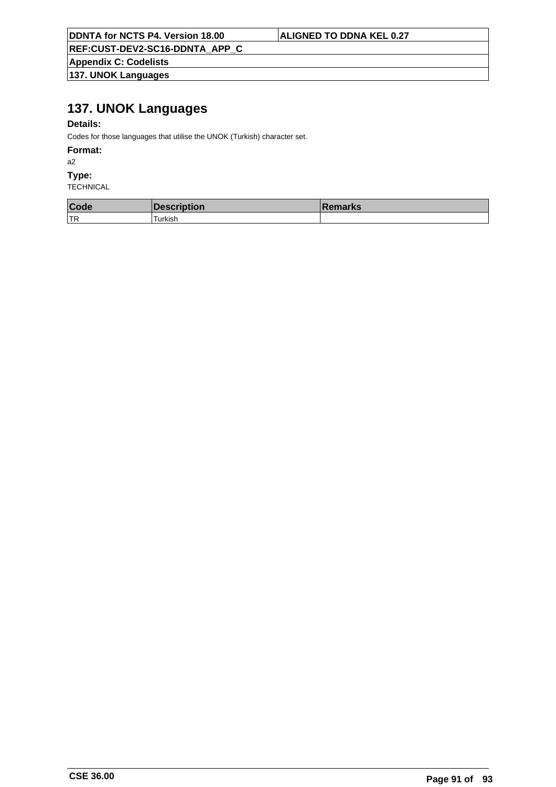**REF:CUST-DEV2-SC16-DDNTA\_APP\_C**

**Appendix C: Codelists 137. UNOK Languages**

# **137. UNOK Languages**

## **Details:**

Codes for those languages that utilise the UNOK (Turkish) character set.

#### **Format:**

a2

### **Type:**

| Code | <b>Description</b> | <b>IRemarks</b> |
|------|--------------------|-----------------|
| 'TR  | -urkish            |                 |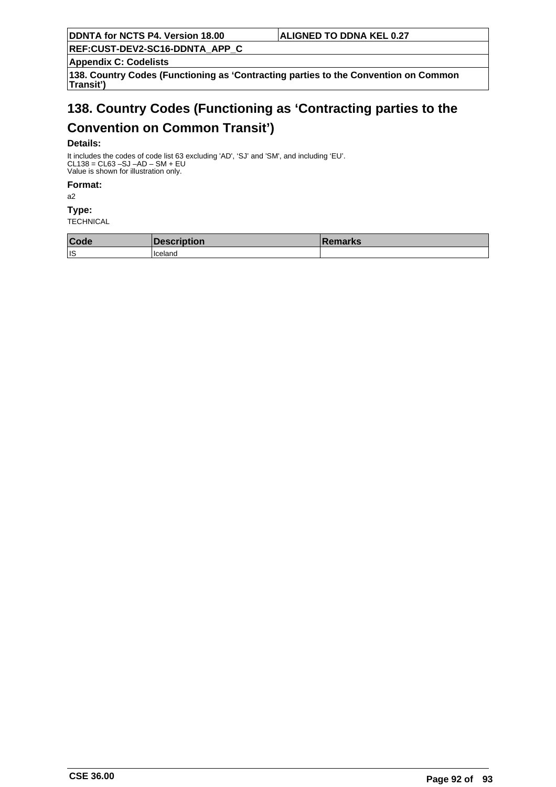**REF:CUST-DEV2-SC16-DDNTA\_APP\_C**

**Appendix C: Codelists**

**138. Country Codes (Functioning as 'Contracting parties to the Convention on Common Transit')**

# **138. Country Codes (Functioning as 'Contracting parties to the**

# **Convention on Common Transit')**

### **Details:**

It includes the codes of code list 63 excluding 'AD', 'SJ' and 'SM', and including 'EU'. CL138 = CL63 –SJ –AD – SM + EU Value is shown for illustration only.

**Format:**

a2

**Type:**

| Code | <b>Exerciption</b> | <b>Remarks</b> |
|------|--------------------|----------------|
| ∣ıs  | l Iceland          |                |